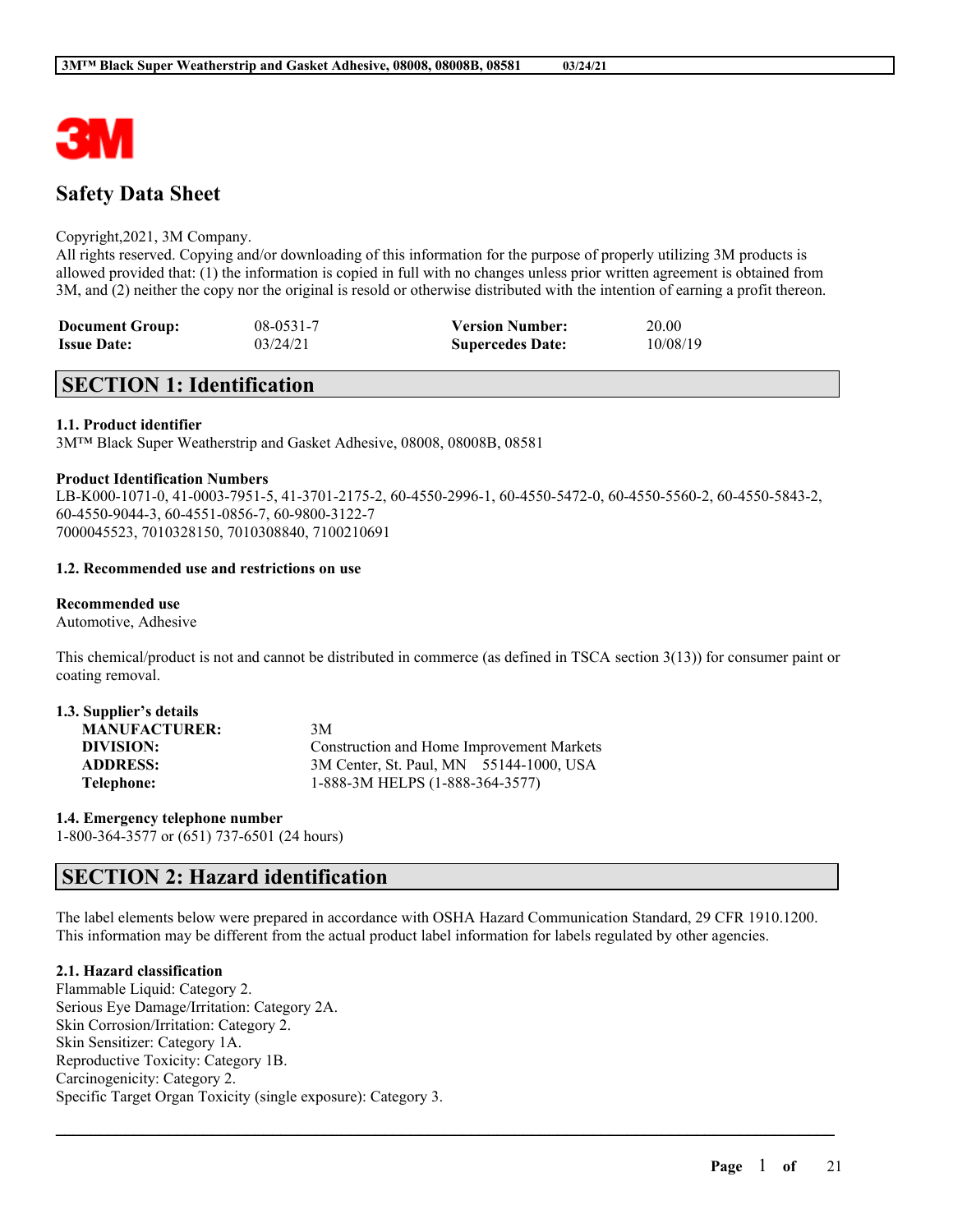

# **Safety Data Sheet**

### Copyright,2021, 3M Company.

All rights reserved. Copying and/or downloading of this information for the purpose of properly utilizing 3M products is allowed provided that: (1) the information is copied in full with no changes unless prior written agreement is obtained from 3M, and (2) neither the copy nor the original is resold or otherwise distributed with the intention of earning a profit thereon.

| <b>Document Group:</b> | $08 - 0531 - 7$ | <b>Version Number:</b>  | 20.00    |
|------------------------|-----------------|-------------------------|----------|
| <b>Issue Date:</b>     | 03/24/21        | <b>Supercedes Date:</b> | 10/08/19 |

# **SECTION 1: Identification**

### **1.1. Product identifier**

3M™ Black Super Weatherstrip and Gasket Adhesive, 08008, 08008B, 08581

### **Product Identification Numbers**

LB-K000-1071-0, 41-0003-7951-5, 41-3701-2175-2, 60-4550-2996-1, 60-4550-5472-0, 60-4550-5560-2, 60-4550-5843-2, 60-4550-9044-3, 60-4551-0856-7, 60-9800-3122-7 7000045523, 7010328150, 7010308840, 7100210691

## **1.2. Recommended use and restrictions on use**

### **Recommended use**

Automotive, Adhesive

This chemical/product is not and cannot be distributed in commerce (as defined in TSCA section 3(13)) for consumer paint or coating removal.

| 1.3. Supplier's details |                                           |
|-------------------------|-------------------------------------------|
| <b>MANUFACTURER:</b>    | 3M                                        |
| DIVISION:               | Construction and Home Improvement Markets |
| <b>ADDRESS:</b>         | 3M Center, St. Paul, MN 55144-1000, USA   |
| Telephone:              | 1-888-3M HELPS (1-888-364-3577)           |

**1.4. Emergency telephone number** 1-800-364-3577 or (651) 737-6501 (24 hours)

# **SECTION 2: Hazard identification**

The label elements below were prepared in accordance with OSHA Hazard Communication Standard, 29 CFR 1910.1200. This information may be different from the actual product label information for labels regulated by other agencies.

 $\mathcal{L}_\mathcal{L} = \mathcal{L}_\mathcal{L} = \mathcal{L}_\mathcal{L} = \mathcal{L}_\mathcal{L} = \mathcal{L}_\mathcal{L} = \mathcal{L}_\mathcal{L} = \mathcal{L}_\mathcal{L} = \mathcal{L}_\mathcal{L} = \mathcal{L}_\mathcal{L} = \mathcal{L}_\mathcal{L} = \mathcal{L}_\mathcal{L} = \mathcal{L}_\mathcal{L} = \mathcal{L}_\mathcal{L} = \mathcal{L}_\mathcal{L} = \mathcal{L}_\mathcal{L} = \mathcal{L}_\mathcal{L} = \mathcal{L}_\mathcal{L}$ 

### **2.1. Hazard classification**

Flammable Liquid: Category 2. Serious Eye Damage/Irritation: Category 2A. Skin Corrosion/Irritation: Category 2. Skin Sensitizer: Category 1A. Reproductive Toxicity: Category 1B. Carcinogenicity: Category 2. Specific Target Organ Toxicity (single exposure): Category 3.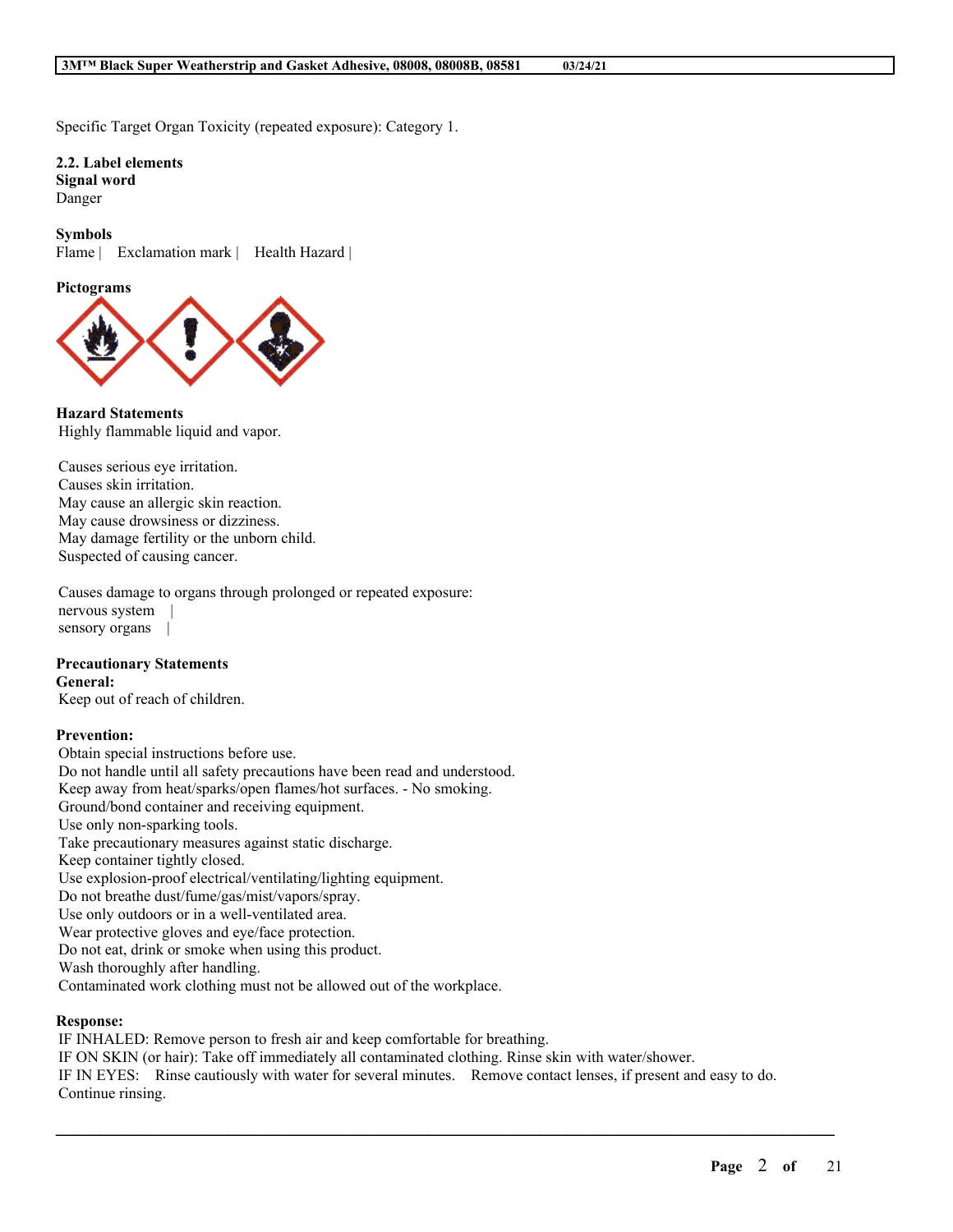Specific Target Organ Toxicity (repeated exposure): Category 1.

**2.2. Label elements Signal word** Danger

**Symbols** Flame | Exclamation mark | Health Hazard |

**Pictograms**



**Hazard Statements** Highly flammable liquid and vapor.

Causes serious eye irritation. Causes skin irritation. May cause an allergic skin reaction. May cause drowsiness or dizziness. May damage fertility or the unborn child. Suspected of causing cancer.

Causes damage to organs through prolonged or repeated exposure: nervous system | sensory organs |

### **Precautionary Statements**

**General:**

Keep out of reach of children.

### **Prevention:**

Obtain special instructions before use. Do not handle until all safety precautions have been read and understood. Keep away from heat/sparks/open flames/hot surfaces. - No smoking. Ground/bond container and receiving equipment. Use only non-sparking tools. Take precautionary measures against static discharge. Keep container tightly closed. Use explosion-proof electrical/ventilating/lighting equipment. Do not breathe dust/fume/gas/mist/vapors/spray. Use only outdoors or in a well-ventilated area. Wear protective gloves and eye/face protection. Do not eat, drink or smoke when using this product. Wash thoroughly after handling. Contaminated work clothing must not be allowed out of the workplace.

### **Response:**

IF INHALED: Remove person to fresh air and keep comfortable for breathing. IF ON SKIN (or hair): Take off immediately all contaminated clothing. Rinse skin with water/shower. IF IN EYES: Rinse cautiously with water for several minutes. Remove contact lenses, if present and easy to do. Continue rinsing.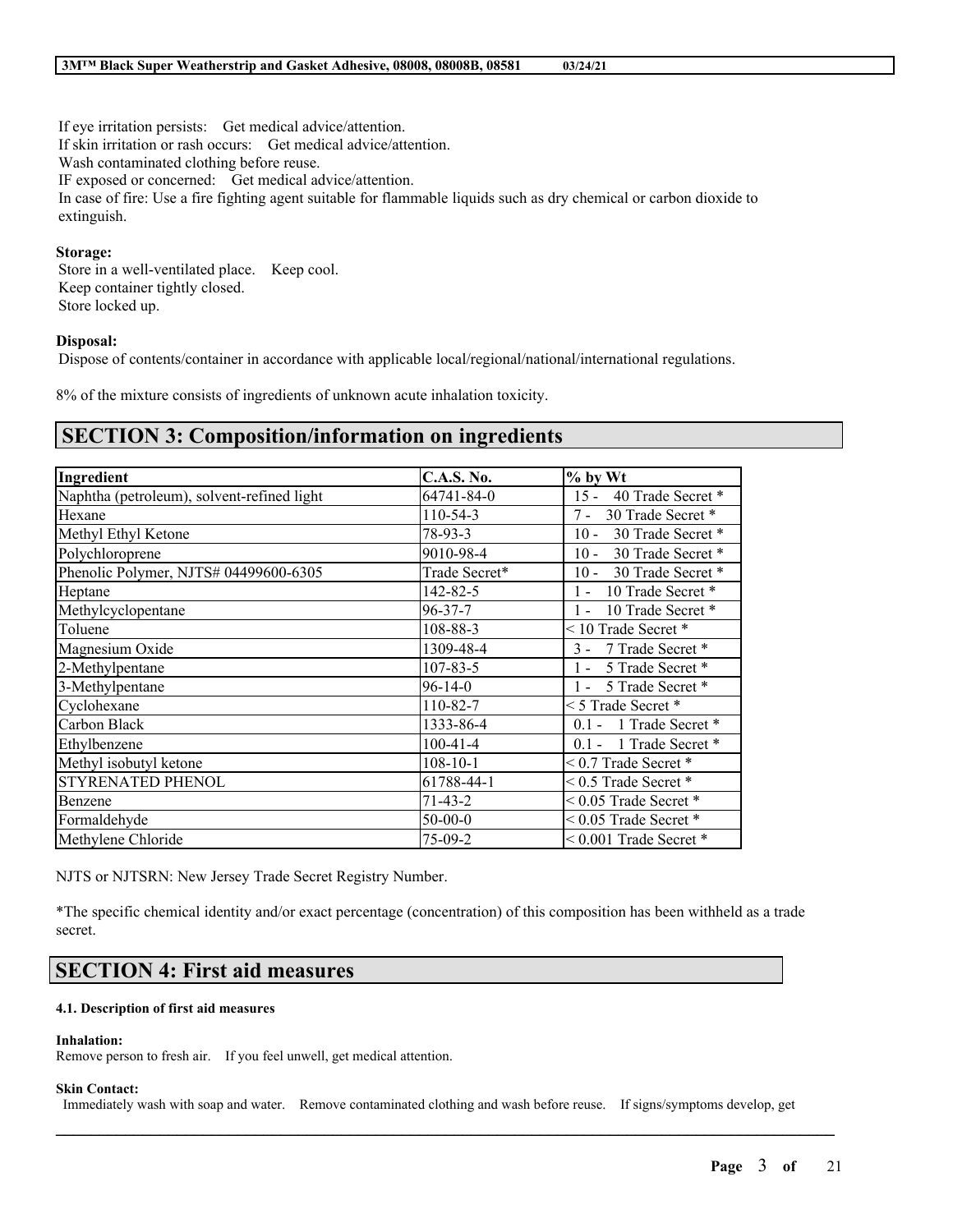If eye irritation persists: Get medical advice/attention. If skin irritation or rash occurs: Get medical advice/attention. Wash contaminated clothing before reuse. IF exposed or concerned: Get medical advice/attention. In case of fire: Use a fire fighting agent suitable for flammable liquids such as dry chemical or carbon dioxide to extinguish.

### **Storage:**

Store in a well-ventilated place. Keep cool. Keep container tightly closed. Store locked up.

### **Disposal:**

Dispose of contents/container in accordance with applicable local/regional/national/international regulations.

8% of the mixture consists of ingredients of unknown acute inhalation toxicity.

## **SECTION 3: Composition/information on ingredients**

| Ingredient                                 | <b>C.A.S. No.</b> | % by Wt                     |
|--------------------------------------------|-------------------|-----------------------------|
| Naphtha (petroleum), solvent-refined light | 64741-84-0        | $15 -$<br>40 Trade Secret * |
| Hexane                                     | $110 - 54 - 3$    | $7 -$<br>30 Trade Secret *  |
| Methyl Ethyl Ketone                        | 78-93-3           | $10 -$<br>30 Trade Secret * |
| Polychloroprene                            | 9010-98-4         | 30 Trade Secret *<br>$10 -$ |
| Phenolic Polymer, NJTS# 04499600-6305      | Trade Secret*     | 30 Trade Secret *<br>$10 -$ |
| Heptane                                    | 142-82-5          | 10 Trade Secret *<br>$1 -$  |
| Methylcyclopentane                         | $96 - 37 - 7$     | 10 Trade Secret *<br>$1 -$  |
| Toluene                                    | 108-88-3          | < 10 Trade Secret *         |
| Magnesium Oxide                            | 1309-48-4         | 7 Trade Secret *<br>$3 -$   |
| 2-Methylpentane                            | $107 - 83 - 5$    | 5 Trade Secret *<br>$1 -$   |
| 3-Methylpentane                            | $96 - 14 - 0$     | 5 Trade Secret *<br>$1 -$   |
| Cyclohexane                                | 110-82-7          | $\leq$ 5 Trade Secret $*$   |
| Carbon Black                               | 1333-86-4         | $0.1 - 1$ Trade Secret *    |
| Ethylbenzene                               | $100-41-4$        | 0.1 - 1 Trade Secret *      |
| Methyl isobutyl ketone                     | $108 - 10 - 1$    | $< 0.7$ Trade Secret $*$    |
| STYRENATED PHENOL                          | 61788-44-1        | $< 0.5$ Trade Secret $*$    |
| Benzene                                    | $71 - 43 - 2$     | $< 0.05$ Trade Secret $*$   |
| Formaldehyde                               | $50-00-0$         | $< 0.05$ Trade Secret $*$   |
| Methylene Chloride                         | $75-09-2$         | $< 0.001$ Trade Secret $*$  |

NJTS or NJTSRN: New Jersey Trade Secret Registry Number.

\*The specific chemical identity and/or exact percentage (concentration) of this composition has been withheld as a trade secret.

# **SECTION 4: First aid measures**

## **4.1. Description of first aid measures**

### **Inhalation:**

Remove person to fresh air. If you feel unwell, get medical attention.

### **Skin Contact:**

Immediately wash with soap and water. Remove contaminated clothing and wash before reuse. If signs/symptoms develop, get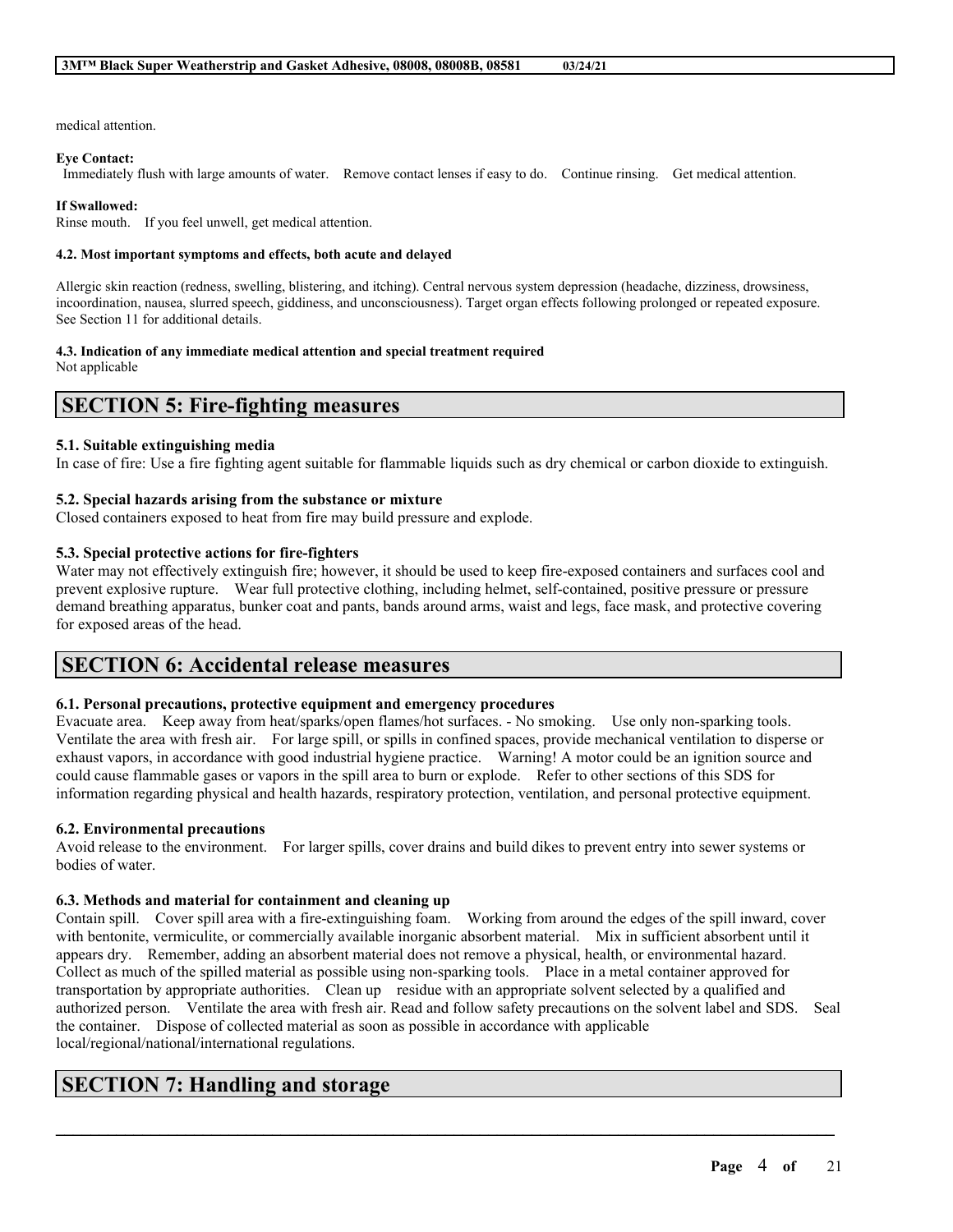medical attention.

#### **Eye Contact:**

Immediately flush with large amounts of water. Remove contact lenses if easy to do. Continue rinsing. Get medical attention.

#### **If Swallowed:**

Rinse mouth. If you feel unwell, get medical attention.

### **4.2. Most important symptoms and effects, both acute and delayed**

Allergic skin reaction (redness, swelling, blistering, and itching). Central nervous system depression (headache, dizziness, drowsiness, incoordination, nausea, slurred speech, giddiness, and unconsciousness). Target organ effects following prolonged or repeated exposure. See Section 11 for additional details.

### **4.3. Indication of any immediate medical attention and special treatment required**

Not applicable

## **SECTION 5: Fire-fighting measures**

### **5.1. Suitable extinguishing media**

In case of fire: Use a fire fighting agent suitable for flammable liquids such as dry chemical or carbon dioxide to extinguish.

### **5.2. Special hazards arising from the substance or mixture**

Closed containers exposed to heat from fire may build pressure and explode.

### **5.3. Special protective actions for fire-fighters**

Water may not effectively extinguish fire; however, it should be used to keep fire-exposed containers and surfaces cool and prevent explosive rupture. Wear full protective clothing, including helmet, self-contained, positive pressure or pressure demand breathing apparatus, bunker coat and pants, bands around arms, waist and legs, face mask, and protective covering for exposed areas of the head.

## **SECTION 6: Accidental release measures**

### **6.1. Personal precautions, protective equipment and emergency procedures**

Evacuate area. Keep away from heat/sparks/open flames/hot surfaces. - No smoking. Use only non-sparking tools. Ventilate the area with fresh air. For large spill, or spills in confined spaces, provide mechanical ventilation to disperse or exhaust vapors, in accordance with good industrial hygiene practice. Warning! A motor could be an ignition source and could cause flammable gases or vapors in the spill area to burn or explode. Refer to other sections of this SDS for information regarding physical and health hazards, respiratory protection, ventilation, and personal protective equipment.

### **6.2. Environmental precautions**

Avoid release to the environment. For larger spills, cover drains and build dikes to prevent entry into sewer systems or bodies of water.

### **6.3. Methods and material for containment and cleaning up**

Contain spill. Cover spill area with a fire-extinguishing foam. Working from around the edges of the spill inward, cover with bentonite, vermiculite, or commercially available inorganic absorbent material. Mix in sufficient absorbent until it appears dry. Remember, adding an absorbent material does not remove a physical, health, or environmental hazard. Collect as much of the spilled material as possible using non-sparking tools. Place in a metal container approved for transportation by appropriate authorities. Clean up residue with an appropriate solvent selected by a qualified and authorized person. Ventilate the area with fresh air. Read and follow safety precautions on the solvent label and SDS. Seal the container. Dispose of collected material as soon as possible in accordance with applicable local/regional/national/international regulations.

 $\mathcal{L}_\mathcal{L} = \mathcal{L}_\mathcal{L} = \mathcal{L}_\mathcal{L} = \mathcal{L}_\mathcal{L} = \mathcal{L}_\mathcal{L} = \mathcal{L}_\mathcal{L} = \mathcal{L}_\mathcal{L} = \mathcal{L}_\mathcal{L} = \mathcal{L}_\mathcal{L} = \mathcal{L}_\mathcal{L} = \mathcal{L}_\mathcal{L} = \mathcal{L}_\mathcal{L} = \mathcal{L}_\mathcal{L} = \mathcal{L}_\mathcal{L} = \mathcal{L}_\mathcal{L} = \mathcal{L}_\mathcal{L} = \mathcal{L}_\mathcal{L}$ 

# **SECTION 7: Handling and storage**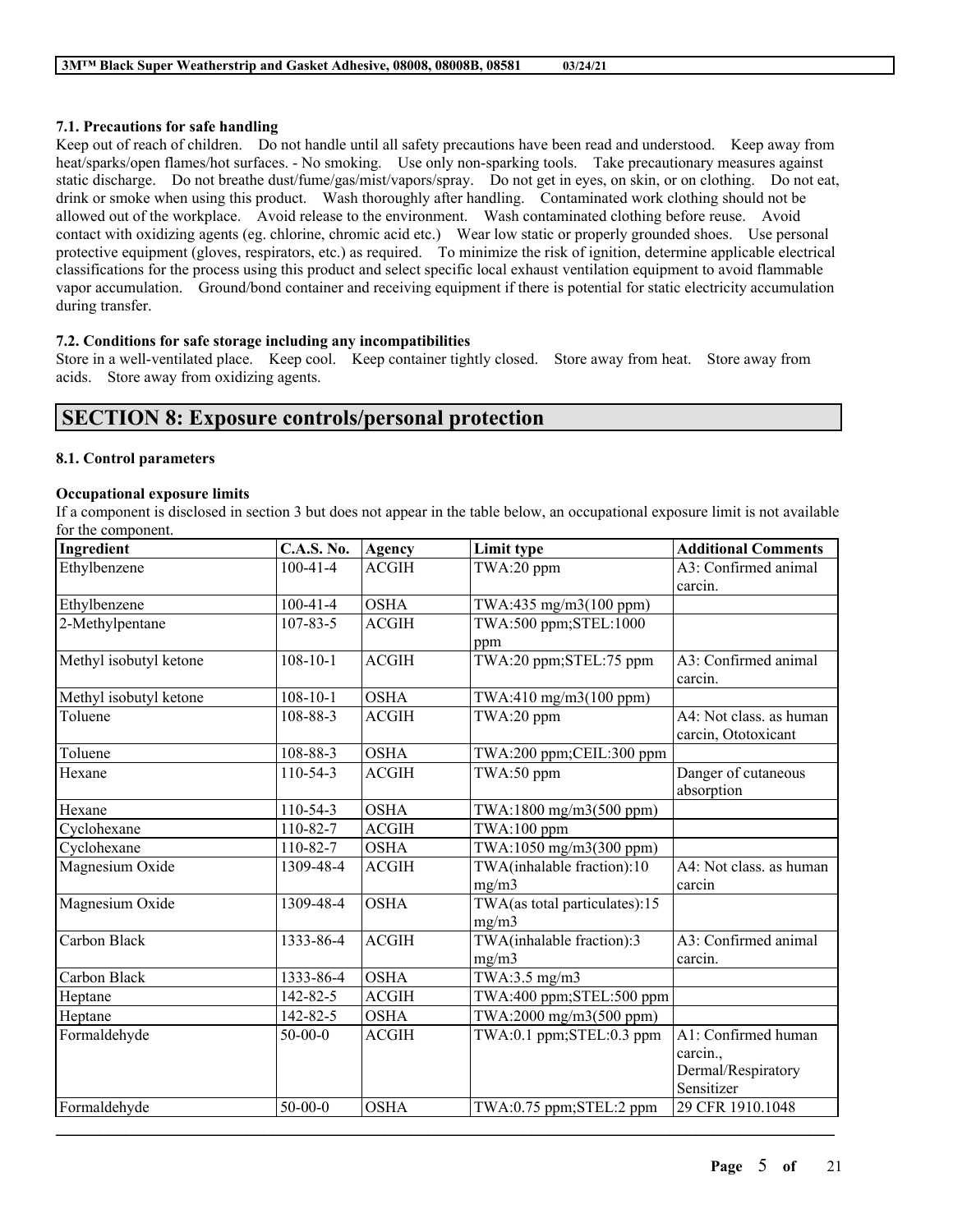### **7.1. Precautions for safe handling**

Keep out of reach of children. Do not handle until all safety precautions have been read and understood. Keep away from heat/sparks/open flames/hot surfaces. - No smoking. Use only non-sparking tools. Take precautionary measures against static discharge. Do not breathe dust/fume/gas/mist/vapors/spray. Do not get in eyes, on skin, or on clothing. Do not eat, drink or smoke when using this product. Wash thoroughly after handling. Contaminated work clothing should not be allowed out of the workplace. Avoid release to the environment. Wash contaminated clothing before reuse. Avoid contact with oxidizing agents (eg. chlorine, chromic acid etc.) Wear low static or properly grounded shoes. Use personal protective equipment (gloves, respirators, etc.) as required. To minimize the risk of ignition, determine applicable electrical classifications for the process using this product and select specific local exhaust ventilation equipment to avoid flammable vapor accumulation. Ground/bond container and receiving equipment if there is potential for static electricity accumulation during transfer.

### **7.2. Conditions for safe storage including any incompatibilities**

Store in a well-ventilated place. Keep cool. Keep container tightly closed. Store away from heat. Store away from acids. Store away from oxidizing agents.

## **SECTION 8: Exposure controls/personal protection**

### **8.1. Control parameters**

### **Occupational exposure limits**

If a component is disclosed in section 3 but does not appear in the table below, an occupational exposure limit is not available for the component.

| Ingredient             | <b>C.A.S. No.</b> | <b>Agency</b> | Limit type                    | <b>Additional Comments</b> |
|------------------------|-------------------|---------------|-------------------------------|----------------------------|
| Ethylbenzene           | $100 - 41 - 4$    | <b>ACGIH</b>  | $TWA:20$ ppm                  | A3: Confirmed animal       |
|                        |                   |               |                               | carcin.                    |
| Ethylbenzene           | $100 - 41 - 4$    | <b>OSHA</b>   | TWA:435 mg/m3(100 ppm)        |                            |
| 2-Methylpentane        | $107 - 83 - 5$    | <b>ACGIH</b>  | TWA:500 ppm;STEL:1000         |                            |
|                        |                   |               | ppm                           |                            |
| Methyl isobutyl ketone | $108 - 10 - 1$    | <b>ACGIH</b>  | TWA:20 ppm;STEL:75 ppm        | A3: Confirmed animal       |
|                        |                   |               |                               | carcin.                    |
| Methyl isobutyl ketone | $108 - 10 - 1$    | <b>OSHA</b>   | TWA:410 mg/m3(100 ppm)        |                            |
| Toluene                | 108-88-3          | <b>ACGIH</b>  | TWA:20 ppm                    | A4: Not class. as human    |
|                        |                   |               |                               | carcin, Ototoxicant        |
| Toluene                | 108-88-3          | <b>OSHA</b>   | TWA:200 ppm;CEIL:300 ppm      |                            |
| Hexane                 | 110-54-3          | <b>ACGIH</b>  | TWA:50 ppm                    | Danger of cutaneous        |
|                        |                   |               |                               | absorption                 |
| Hexane                 | 110-54-3          | <b>OSHA</b>   | TWA:1800 mg/m3(500 ppm)       |                            |
| Cyclohexane            | 110-82-7          | <b>ACGIH</b>  | TWA:100 ppm                   |                            |
| Cyclohexane            | 110-82-7          | <b>OSHA</b>   | TWA:1050 mg/m3(300 ppm)       |                            |
| Magnesium Oxide        | 1309-48-4         | <b>ACGIH</b>  | TWA(inhalable fraction):10    | A4: Not class. as human    |
|                        |                   |               | mg/m3                         | carcin                     |
| Magnesium Oxide        | 1309-48-4         | <b>OSHA</b>   | TWA(as total particulates):15 |                            |
|                        |                   |               | mg/m3                         |                            |
| Carbon Black           | 1333-86-4         | <b>ACGIH</b>  | TWA(inhalable fraction):3     | A3: Confirmed animal       |
|                        |                   |               | mg/m3                         | carcin.                    |
| Carbon Black           | 1333-86-4         | <b>OSHA</b>   | TWA:3.5 mg/m3                 |                            |
| Heptane                | 142-82-5          | <b>ACGIH</b>  | TWA:400 ppm;STEL:500 ppm      |                            |
| Heptane                | 142-82-5          | <b>OSHA</b>   | TWA:2000 mg/m3(500 ppm)       |                            |
| Formaldehyde           | $50-00-0$         | <b>ACGIH</b>  | TWA:0.1 ppm;STEL:0.3 ppm      | A1: Confirmed human        |
|                        |                   |               |                               | carcin.,                   |
|                        |                   |               |                               | Dermal/Respiratory         |
|                        |                   |               |                               | Sensitizer                 |
| Formaldehyde           | $50 - 00 - 0$     | <b>OSHA</b>   | TWA:0.75 ppm;STEL:2 ppm       | 29 CFR 1910.1048           |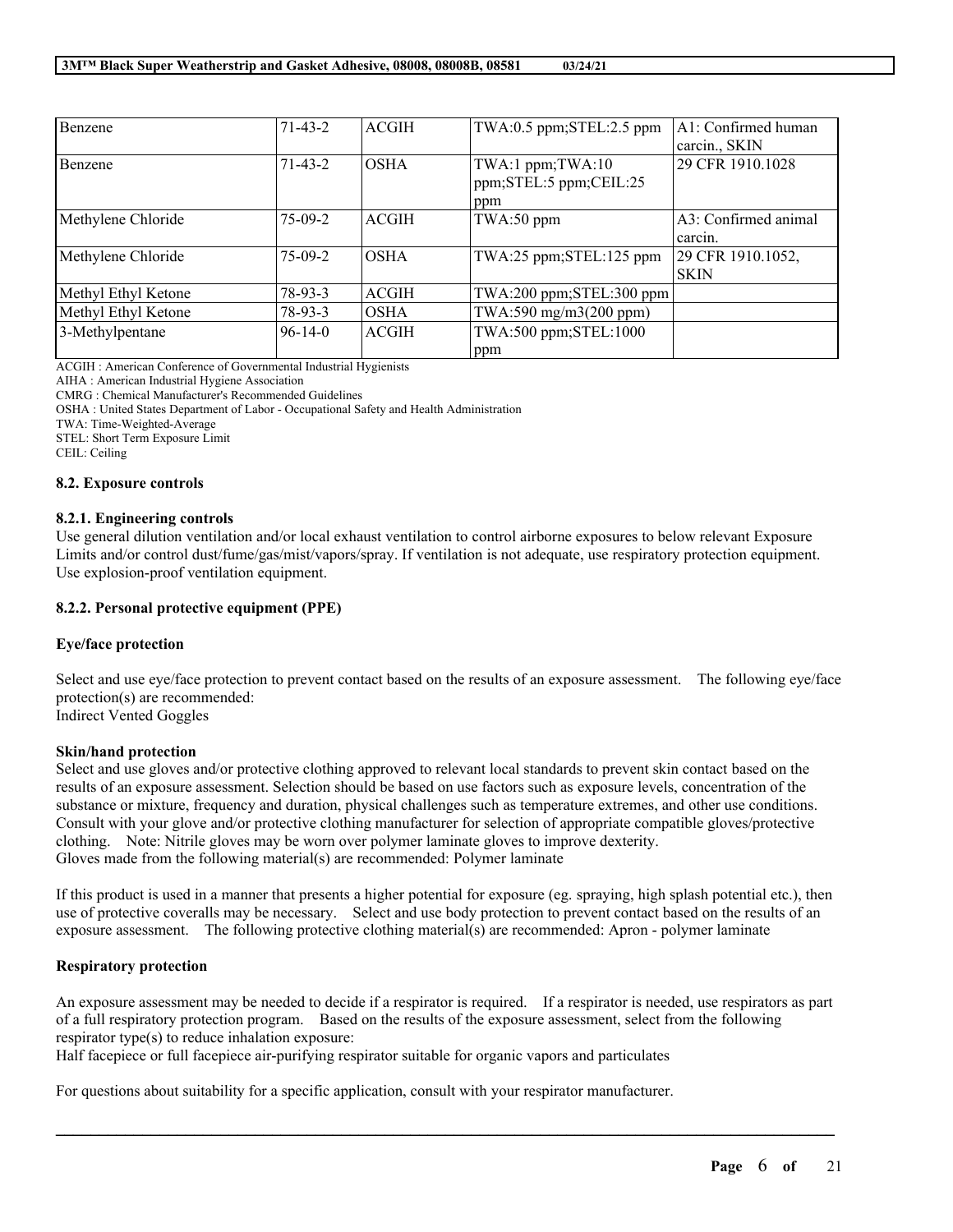| Benzene             | $71 - 43 - 2$ | <b>ACGIH</b> | TWA:0.5 ppm;STEL:2.5 ppm                          | A1: Confirmed human<br>carcin., SKIN |
|---------------------|---------------|--------------|---------------------------------------------------|--------------------------------------|
| Benzene             | $71 - 43 - 2$ | <b>OSHA</b>  | TWA:1 ppm;TWA:10<br>ppm;STEL:5 ppm;CEIL:25<br>ppm | 29 CFR 1910.1028                     |
| Methylene Chloride  | $75-09-2$     | <b>ACGIH</b> | TWA:50 ppm                                        | A3: Confirmed animal<br>carcin.      |
| Methylene Chloride  | $75-09-2$     | <b>OSHA</b>  | TWA:25 ppm;STEL:125 ppm                           | 29 CFR 1910.1052,<br><b>SKIN</b>     |
| Methyl Ethyl Ketone | $78-93-3$     | <b>ACGIH</b> | TWA:200 ppm;STEL:300 ppm                          |                                      |
| Methyl Ethyl Ketone | $78-93-3$     | <b>OSHA</b>  | TWA:590 mg/m3(200 ppm)                            |                                      |
| 3-Methylpentane     | $96 - 14 - 0$ | <b>ACGIH</b> | TWA:500 ppm;STEL:1000<br>ppm                      |                                      |

ACGIH : American Conference of Governmental Industrial Hygienists

AIHA : American Industrial Hygiene Association

CMRG : Chemical Manufacturer's Recommended Guidelines

OSHA : United States Department of Labor - Occupational Safety and Health Administration

TWA: Time-Weighted-Average

STEL: Short Term Exposure Limit

CEIL: Ceiling

### **8.2. Exposure controls**

## **8.2.1. Engineering controls**

Use general dilution ventilation and/or local exhaust ventilation to control airborne exposures to below relevant Exposure Limits and/or control dust/fume/gas/mist/vapors/spray. If ventilation is not adequate, use respiratory protection equipment. Use explosion-proof ventilation equipment.

## **8.2.2. Personal protective equipment (PPE)**

## **Eye/face protection**

Select and use eye/face protection to prevent contact based on the results of an exposure assessment. The following eye/face protection(s) are recommended: Indirect Vented Goggles

### **Skin/hand protection**

Select and use gloves and/or protective clothing approved to relevant local standards to prevent skin contact based on the results of an exposure assessment. Selection should be based on use factors such as exposure levels, concentration of the substance or mixture, frequency and duration, physical challenges such as temperature extremes, and other use conditions. Consult with your glove and/or protective clothing manufacturer for selection of appropriate compatible gloves/protective clothing. Note: Nitrile gloves may be worn over polymer laminate gloves to improve dexterity. Gloves made from the following material(s) are recommended: Polymer laminate

If this product is used in a manner that presents a higher potential for exposure (eg. spraying, high splash potential etc.), then use of protective coveralls may be necessary. Select and use body protection to prevent contact based on the results of an exposure assessment. The following protective clothing material(s) are recommended: Apron - polymer laminate

## **Respiratory protection**

An exposure assessment may be needed to decide if a respirator is required. If a respirator is needed, use respirators as part of a full respiratory protection program. Based on the results of the exposure assessment, select from the following respirator type(s) to reduce inhalation exposure:

 $\mathcal{L}_\mathcal{L} = \mathcal{L}_\mathcal{L} = \mathcal{L}_\mathcal{L} = \mathcal{L}_\mathcal{L} = \mathcal{L}_\mathcal{L} = \mathcal{L}_\mathcal{L} = \mathcal{L}_\mathcal{L} = \mathcal{L}_\mathcal{L} = \mathcal{L}_\mathcal{L} = \mathcal{L}_\mathcal{L} = \mathcal{L}_\mathcal{L} = \mathcal{L}_\mathcal{L} = \mathcal{L}_\mathcal{L} = \mathcal{L}_\mathcal{L} = \mathcal{L}_\mathcal{L} = \mathcal{L}_\mathcal{L} = \mathcal{L}_\mathcal{L}$ 

Half facepiece or full facepiece air-purifying respirator suitable for organic vapors and particulates

For questions about suitability for a specific application, consult with your respirator manufacturer.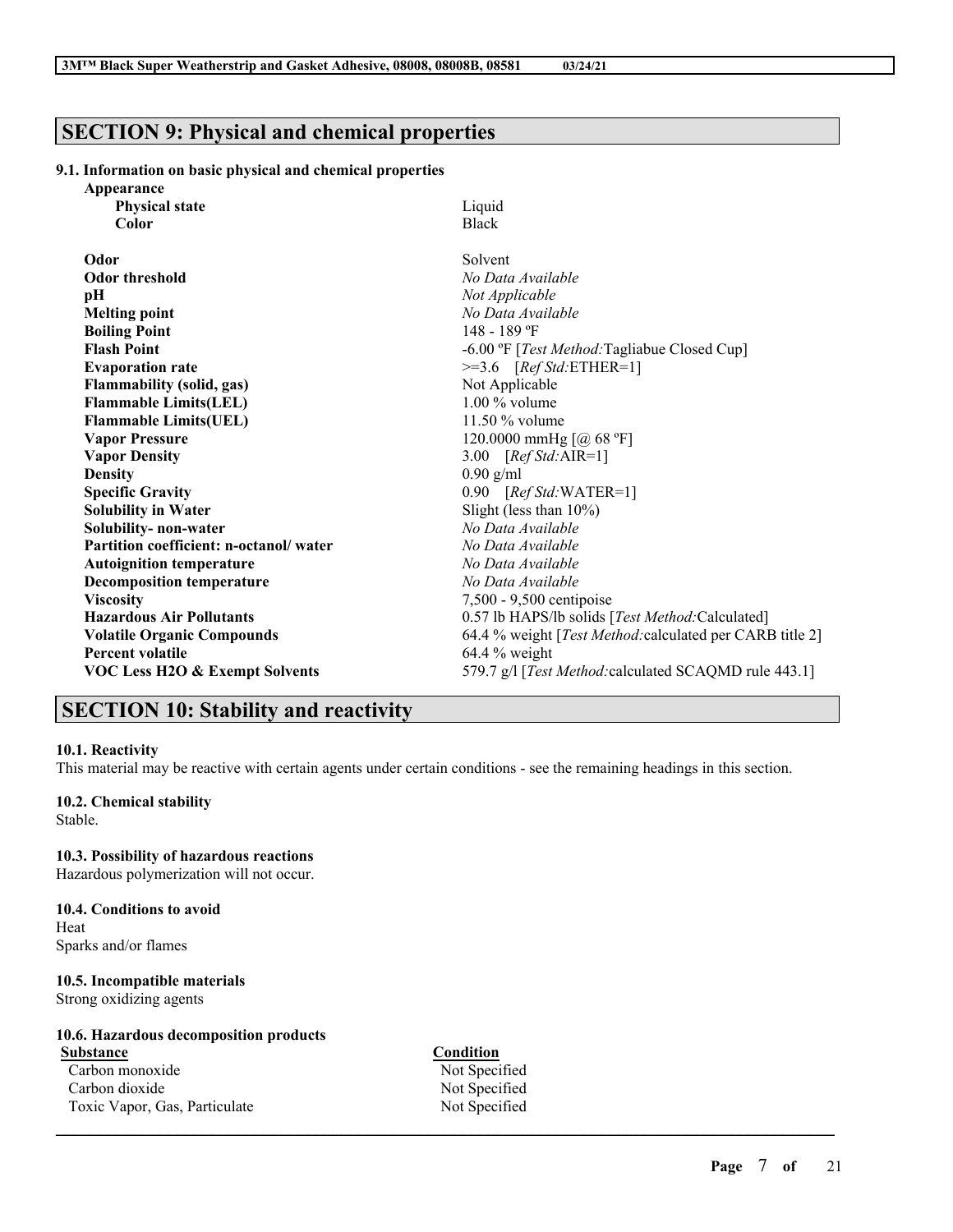# **SECTION 9: Physical and chemical properties**

### **9.1. Information on basic physical and chemical properties**

| Appearance                                |                                                               |
|-------------------------------------------|---------------------------------------------------------------|
| <b>Physical state</b>                     | Liquid                                                        |
| Color                                     | <b>Black</b>                                                  |
| Odor                                      | Solvent                                                       |
| Odor threshold                            | No Data Available                                             |
| рH                                        | Not Applicable                                                |
| <b>Melting point</b>                      | No Data Available                                             |
| <b>Boiling Point</b>                      | 148 - 189 °F                                                  |
| <b>Flash Point</b>                        | -6.00 °F [Test Method: Tagliabue Closed Cup]                  |
| <b>Evaporation rate</b>                   | $>=3.6$ [Ref Std:ETHER=1]                                     |
| <b>Flammability (solid, gas)</b>          | Not Applicable                                                |
| <b>Flammable Limits(LEL)</b>              | $1.00\%$ volume                                               |
| <b>Flammable Limits(UEL)</b>              | $11.50\%$ volume                                              |
| <b>Vapor Pressure</b>                     | 120.0000 mmHg [@ 68 °F]                                       |
| <b>Vapor Density</b>                      | 3.00 $[RefStd:AIR=1]$                                         |
| <b>Density</b>                            | $0.90$ g/ml                                                   |
| <b>Specific Gravity</b>                   | $0.90$ [Ref Std:WATER=1]                                      |
| <b>Solubility in Water</b>                | Slight (less than $10\%$ )                                    |
| Solubility- non-water                     | No Data Available                                             |
| Partition coefficient: n-octanol/water    | No Data Available                                             |
| <b>Autoignition temperature</b>           | No Data Available                                             |
| <b>Decomposition temperature</b>          | No Data Available                                             |
| <b>Viscosity</b>                          | 7,500 - 9,500 centipoise                                      |
| <b>Hazardous Air Pollutants</b>           | 0.57 lb HAPS/lb solids [Test Method:Calculated]               |
| <b>Volatile Organic Compounds</b>         | 64.4 % weight [Test Method: calculated per CARB title 2]      |
| <b>Percent volatile</b>                   | $64.4\%$ weight                                               |
| <b>VOC Less H2O &amp; Exempt Solvents</b> | 579.7 g/l [ <i>Test Method:calculated SCAQMD rule 443.1</i> ] |
|                                           |                                                               |

# **SECTION 10: Stability and reactivity**

#### **10.1. Reactivity**

This material may be reactive with certain agents under certain conditions - see the remaining headings in this section.

# **10.2. Chemical stability**

Stable.

### **10.3. Possibility of hazardous reactions**

Hazardous polymerization will not occur.

#### **10.4. Conditions to avoid** Heat

Sparks and/or flames

## **10.5. Incompatible materials**

Strong oxidizing agents

## **10.6. Hazardous decomposition products**

**Substance Condition** Carbon monoxide Not Specified Carbon dioxide Not Specified Toxic Vapor, Gas, Particulate Not Specified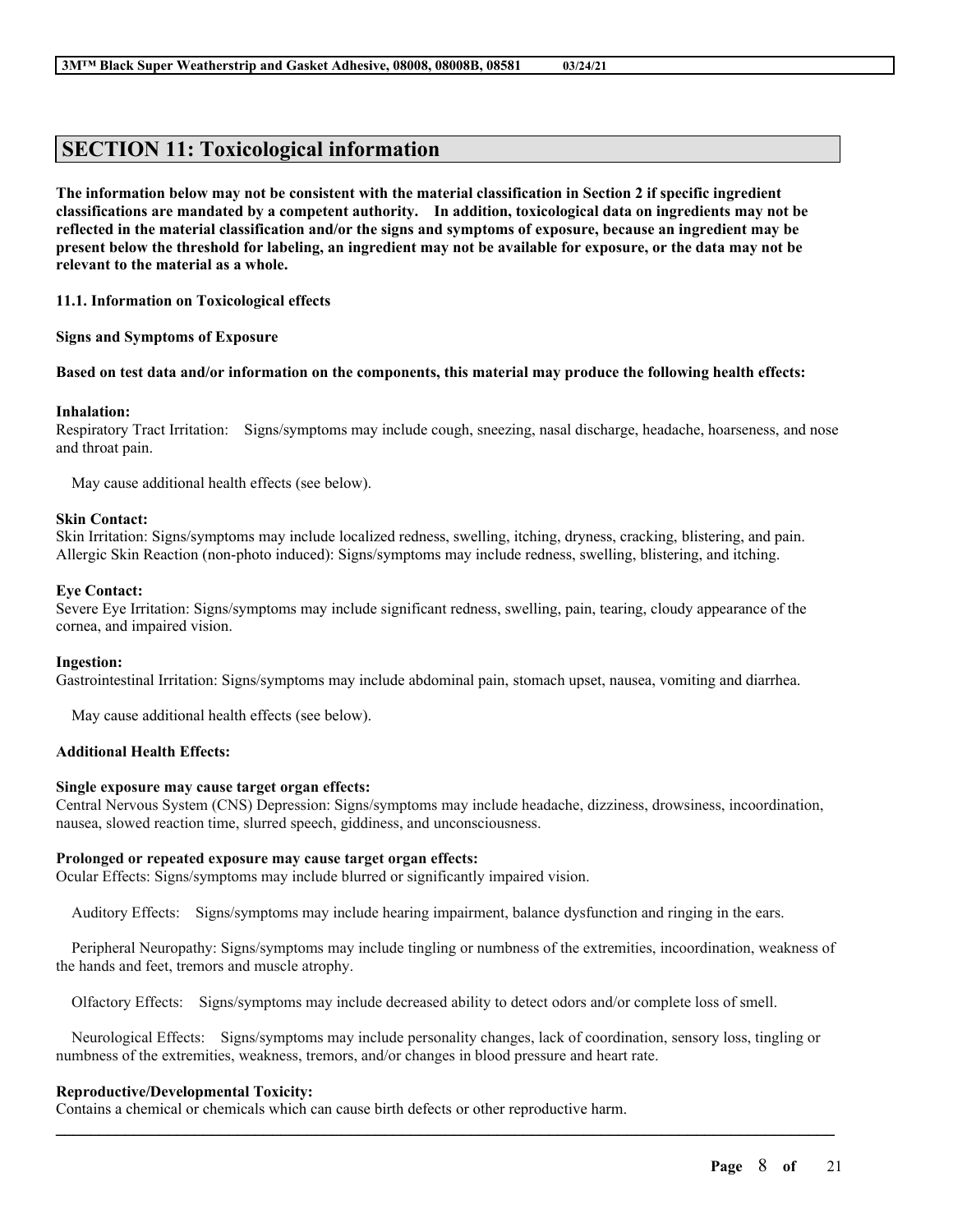# **SECTION 11: Toxicological information**

The information below may not be consistent with the material classification in Section 2 if specific ingredient **classifications are mandated by a competent authority. In addition, toxicological data on ingredients may not be** reflected in the material classification and/or the signs and symptoms of exposure, because an ingredient may be present below the threshold for labeling, an ingredient may not be available for exposure, or the data may not be **relevant to the material as a whole.**

**11.1. Information on Toxicological effects**

**Signs and Symptoms of Exposure**

#### Based on test data and/or information on the components, this material may produce the following health effects:

### **Inhalation:**

Respiratory Tract Irritation: Signs/symptoms may include cough, sneezing, nasal discharge, headache, hoarseness, and nose and throat pain.

May cause additional health effects (see below).

### **Skin Contact:**

Skin Irritation: Signs/symptoms may include localized redness, swelling, itching, dryness, cracking, blistering, and pain. Allergic Skin Reaction (non-photo induced): Signs/symptoms may include redness, swelling, blistering, and itching.

#### **Eye Contact:**

Severe Eye Irritation: Signs/symptoms may include significant redness, swelling, pain, tearing, cloudy appearance of the cornea, and impaired vision.

#### **Ingestion:**

Gastrointestinal Irritation: Signs/symptoms may include abdominal pain, stomach upset, nausea, vomiting and diarrhea.

May cause additional health effects (see below).

### **Additional Health Effects:**

### **Single exposure may cause target organ effects:**

Central Nervous System (CNS) Depression: Signs/symptoms may include headache, dizziness, drowsiness, incoordination, nausea, slowed reaction time, slurred speech, giddiness, and unconsciousness.

#### **Prolonged or repeated exposure may cause target organ effects:**

Ocular Effects: Signs/symptoms may include blurred or significantly impaired vision.

Auditory Effects: Signs/symptoms may include hearing impairment, balance dysfunction and ringing in the ears.

Peripheral Neuropathy: Signs/symptoms may include tingling or numbness of the extremities, incoordination, weakness of the hands and feet, tremors and muscle atrophy.

Olfactory Effects: Signs/symptoms may include decreased ability to detect odors and/or complete loss of smell.

Neurological Effects: Signs/symptoms may include personality changes, lack of coordination, sensory loss, tingling or numbness of the extremities, weakness, tremors, and/or changes in blood pressure and heart rate.

 $\mathcal{L}_\mathcal{L} = \mathcal{L}_\mathcal{L} = \mathcal{L}_\mathcal{L} = \mathcal{L}_\mathcal{L} = \mathcal{L}_\mathcal{L} = \mathcal{L}_\mathcal{L} = \mathcal{L}_\mathcal{L} = \mathcal{L}_\mathcal{L} = \mathcal{L}_\mathcal{L} = \mathcal{L}_\mathcal{L} = \mathcal{L}_\mathcal{L} = \mathcal{L}_\mathcal{L} = \mathcal{L}_\mathcal{L} = \mathcal{L}_\mathcal{L} = \mathcal{L}_\mathcal{L} = \mathcal{L}_\mathcal{L} = \mathcal{L}_\mathcal{L}$ 

### **Reproductive/Developmental Toxicity:**

Contains a chemical or chemicals which can cause birth defects or other reproductive harm.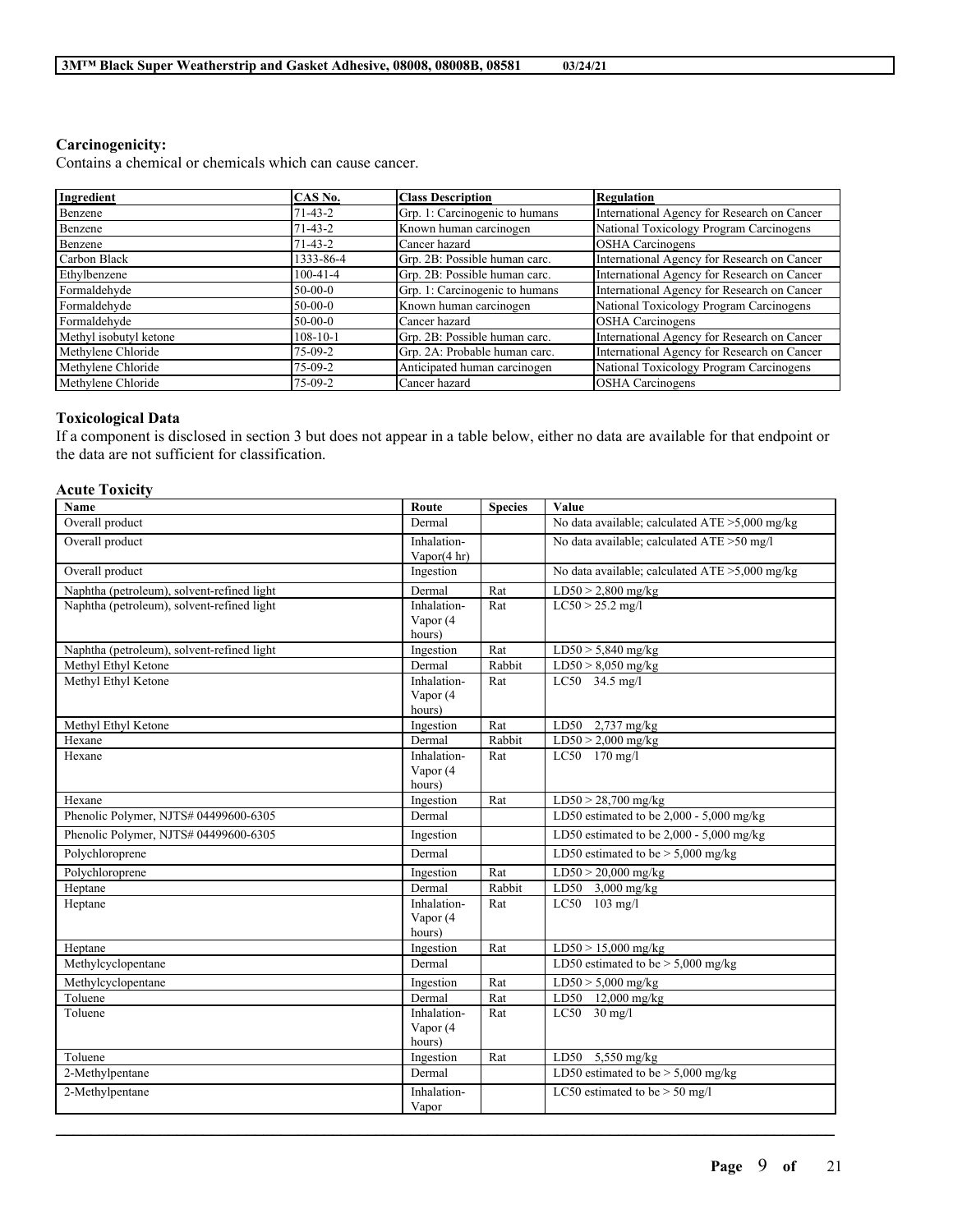### **Carcinogenicity:**

Contains a chemical or chemicals which can cause cancer.

| Ingredient             | CAS No.        | <b>Class Description</b>       | <b>Regulation</b>                           |
|------------------------|----------------|--------------------------------|---------------------------------------------|
| Benzene                | $71-43-2$      | Grp. 1: Carcinogenic to humans | International Agency for Research on Cancer |
| Benzene                | $71-43-2$      | Known human carcinogen         | National Toxicology Program Carcinogens     |
| Benzene                | $71-43-2$      | Cancer hazard                  | <b>OSHA</b> Carcinogens                     |
| Carbon Black           | 1333-86-4      | Grp. 2B: Possible human carc.  | International Agency for Research on Cancer |
| Ethylbenzene           | $100 - 41 - 4$ | Grp. 2B: Possible human carc.  | International Agency for Research on Cancer |
| Formaldehyde           | $50-00-0$      | Grp. 1: Carcinogenic to humans | International Agency for Research on Cancer |
| Formaldehyde           | $50-00-0$      | Known human carcinogen         | National Toxicology Program Carcinogens     |
| Formaldehyde           | $50-00-0$      | Cancer hazard                  | <b>OSHA</b> Carcinogens                     |
| Methyl isobutyl ketone | $108 - 10 - 1$ | Grp. 2B: Possible human carc.  | International Agency for Research on Cancer |
| Methylene Chloride     | $75-09-2$      | Grp. 2A: Probable human carc.  | International Agency for Research on Cancer |
| Methylene Chloride     | $75-09-2$      | Anticipated human carcinogen   | National Toxicology Program Carcinogens     |
| Methylene Chloride     | $75-09-2$      | Cancer hazard                  | <b>OSHA</b> Carcinogens                     |

### **Toxicological Data**

If a component is disclosed in section 3 but does not appear in a table below, either no data are available for that endpoint or the data are not sufficient for classification.

### **Acute Toxicity**

| Name                                       | Route                                 | <b>Species</b> | Value                                             |
|--------------------------------------------|---------------------------------------|----------------|---------------------------------------------------|
| Overall product                            | Dermal                                |                | No data available; calculated $ATE > 5,000$ mg/kg |
| Overall product                            | Inhalation-<br>Vapor $(4 \text{ hr})$ |                | No data available; calculated ATE > 50 mg/l       |
| Overall product                            | Ingestion                             |                | No data available; calculated ATE >5,000 mg/kg    |
| Naphtha (petroleum), solvent-refined light | Dermal                                | Rat            | $LD50 > 2,800$ mg/kg                              |
| Naphtha (petroleum), solvent-refined light | Inhalation-<br>Vapor (4               | Rat            | $LC50 > 25.2$ mg/l                                |
|                                            | hours)                                |                |                                                   |
| Naphtha (petroleum), solvent-refined light | Ingestion                             | Rat            | $LD50 > 5,840$ mg/kg                              |
| Methyl Ethyl Ketone                        | Dermal                                | Rabbit         | $LD50 > 8,050$ mg/kg                              |
| Methyl Ethyl Ketone                        | Inhalation-                           | Rat            | LC50 34.5 mg/l                                    |
|                                            | Vapor (4<br>hours)                    |                |                                                   |
| Methyl Ethyl Ketone                        | Ingestion                             | Rat            | LD50 $2,737$ mg/kg                                |
| Hexane                                     | Dermal                                | Rabbit         | $LD50 > 2,000$ mg/kg                              |
| Hexane                                     | Inhalation-                           | Rat            | LC50 170 mg/l                                     |
|                                            | Vapor (4                              |                |                                                   |
|                                            | hours)                                |                |                                                   |
| Hexane                                     | Ingestion                             | Rat            | $LD50 > 28,700$ mg/kg                             |
| Phenolic Polymer, NJTS# 04499600-6305      | Dermal                                |                | LD50 estimated to be 2,000 - 5,000 mg/kg          |
| Phenolic Polymer, NJTS# 04499600-6305      | Ingestion                             |                | LD50 estimated to be $2,000 - 5,000$ mg/kg        |
| Polychloroprene                            | Dermal                                |                | LD50 estimated to be $> 5,000$ mg/kg              |
| Polychloroprene                            | Ingestion                             | Rat            | $LD50 > 20,000$ mg/kg                             |
| Heptane                                    | Dermal                                | Rabbit         | LD50 $3,000$ mg/kg                                |
| Heptane                                    | Inhalation-                           | Rat            | LC50 103 mg/l                                     |
|                                            | Vapor (4                              |                |                                                   |
|                                            | hours)                                |                |                                                   |
| Heptane                                    | Ingestion                             | Rat            | $LD50 > 15,000$ mg/kg                             |
| Methylcyclopentane                         | Dermal                                |                | LD50 estimated to be $> 5,000$ mg/kg              |
| Methylcyclopentane                         | Ingestion                             | Rat            | $LD50 > 5,000$ mg/kg                              |
| Toluene                                    | Dermal                                | Rat            | LD50 12,000 mg/kg                                 |
| Toluene                                    | Inhalation-                           | Rat            | $LC50$ 30 mg/l                                    |
|                                            | Vapor (4<br>hours)                    |                |                                                   |
| Toluene                                    | Ingestion                             | Rat            | LD50 5,550 mg/kg                                  |
| 2-Methylpentane                            | Dermal                                |                | LD50 estimated to be $> 5,000$ mg/kg              |
| 2-Methylpentane                            | Inhalation-<br>Vapor                  |                | LC50 estimated to be $>$ 50 mg/l                  |
|                                            |                                       |                |                                                   |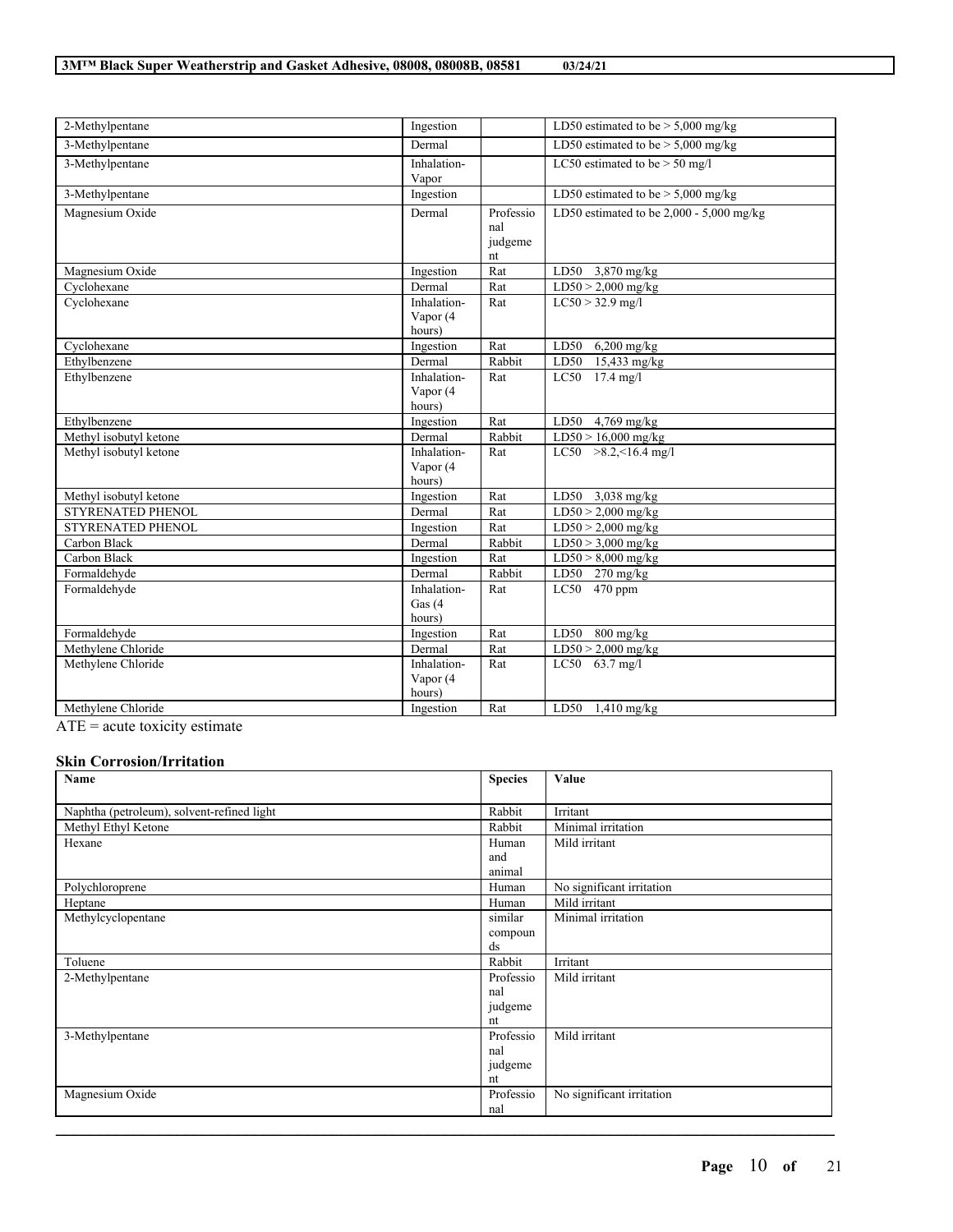| 2-Methylpentane                                             | Ingestion                          |                                   | LD50 estimated to be $> 5,000$ mg/kg       |
|-------------------------------------------------------------|------------------------------------|-----------------------------------|--------------------------------------------|
| 3-Methylpentane                                             | Dermal                             |                                   | LD50 estimated to be $> 5,000$ mg/kg       |
| 3-Methylpentane                                             | Inhalation-<br>Vapor               |                                   | LC50 estimated to be $>$ 50 mg/l           |
| 3-Methylpentane                                             | Ingestion                          |                                   | LD50 estimated to be $>$ 5,000 mg/kg       |
| Magnesium Oxide                                             | Dermal                             | Professio<br>nal<br>judgeme<br>nt | LD50 estimated to be $2,000 - 5,000$ mg/kg |
| Magnesium Oxide                                             | Ingestion                          | Rat                               | LD50 3,870 mg/kg                           |
| Cyclohexane                                                 | Dermal                             | Rat                               | $LD50 > 2,000$ mg/kg                       |
| Cyclohexane                                                 | Inhalation-<br>Vapor (4<br>hours)  | Rat                               | $LC50 > 32.9$ mg/l                         |
| Cyclohexane                                                 | Ingestion                          | Rat                               | LD50<br>$6,200$ mg/kg                      |
| Ethylbenzene                                                | Dermal                             | Rabbit                            | LD50<br>15,433 mg/kg                       |
| Ethylbenzene                                                | Inhalation-<br>Vapor (4<br>hours)  | Rat                               | LC50 17.4 mg/l                             |
| Ethylbenzene                                                | Ingestion                          | Rat                               | LD50 $4,769$ mg/kg                         |
| Methyl isobutyl ketone                                      | Dermal                             | Rabbit                            | $LD50 > 16,000$ mg/kg                      |
| Methyl isobutyl ketone                                      | Inhalation-<br>Vapor (4<br>hours)  | Rat                               | $LC50$ >8.2, <16.4 mg/l                    |
| Methyl isobutyl ketone                                      | Ingestion                          | Rat                               | LD50 3,038 mg/kg                           |
| STYRENATED PHENOL                                           | Dermal                             | Rat                               | $LD50 > 2,000$ mg/kg                       |
| STYRENATED PHENOL                                           | Ingestion                          | Rat                               | $LD50 > 2,000$ mg/kg                       |
| Carbon Black                                                | Dermal                             | Rabbit                            | $LD50 > 3,000$ mg/kg                       |
| Carbon Black                                                | Ingestion                          | Rat                               | $LD50 > 8,000$ mg/kg                       |
| Formaldehyde                                                | Dermal                             | Rabbit                            | LD50 270 mg/kg                             |
| Formaldehyde                                                | Inhalation-<br>Gas $(4)$<br>hours) | Rat                               | LC50 $470$ ppm                             |
| Formaldehyde                                                | Ingestion                          | Rat                               | LD50<br>$800$ mg/kg                        |
| Methylene Chloride                                          | Dermal                             | Rat                               | $\overline{\text{LD50}}$ > 2,000 mg/kg     |
| Methylene Chloride                                          | Inhalation-<br>Vapor (4<br>hours)  | Rat                               | LC50 63.7 mg/l                             |
| Methylene Chloride<br>m <sub>1</sub><br>$\cdots$<br>$\cdot$ | Ingestion                          | Rat                               | LD50 $1,410$ mg/kg                         |

 $\overline{ATE}$  = acute toxicity estimate

## **Skin Corrosion/Irritation**

| Name                                       | <b>Species</b> | Value                     |
|--------------------------------------------|----------------|---------------------------|
|                                            |                |                           |
| Naphtha (petroleum), solvent-refined light | Rabbit         | Irritant                  |
| Methyl Ethyl Ketone                        | Rabbit         | Minimal irritation        |
| Hexane                                     | Human          | Mild irritant             |
|                                            | and            |                           |
|                                            | animal         |                           |
| Polychloroprene                            | Human          | No significant irritation |
| Heptane                                    | Human          | Mild irritant             |
| Methylcyclopentane                         | similar        | Minimal irritation        |
|                                            | compoun        |                           |
|                                            | ds             |                           |
| Toluene                                    | Rabbit         | Irritant                  |
| 2-Methylpentane                            | Professio      | Mild irritant             |
|                                            | nal            |                           |
|                                            | judgeme        |                           |
|                                            | nt             |                           |
| 3-Methylpentane                            | Professio      | Mild irritant             |
|                                            | nal            |                           |
|                                            | judgeme        |                           |
|                                            | nt             |                           |
| Magnesium Oxide                            | Professio      | No significant irritation |
|                                            | nal            |                           |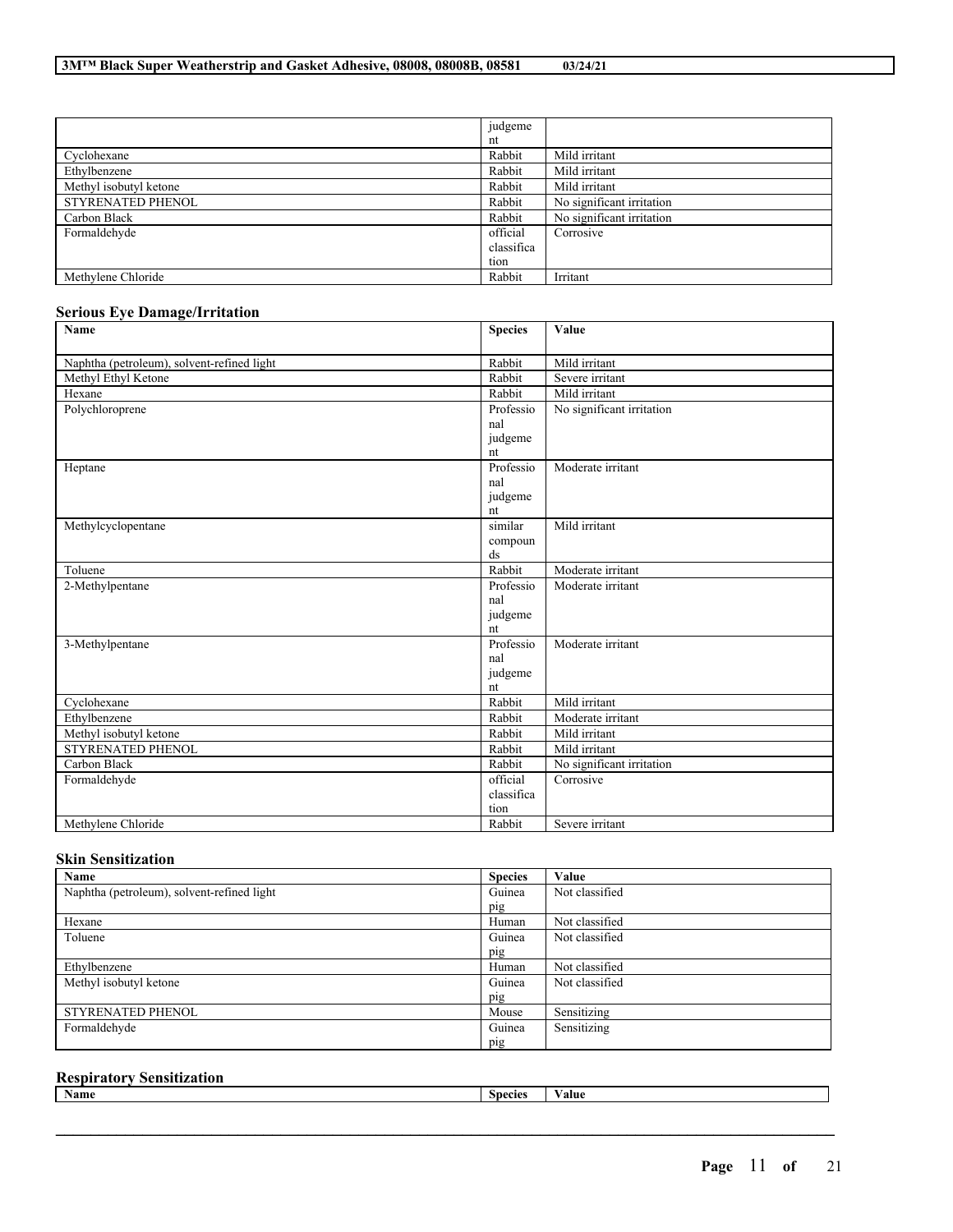|                          | judgeme    |                           |
|--------------------------|------------|---------------------------|
|                          | nt         |                           |
| Cyclohexane              | Rabbit     | Mild irritant             |
| Ethylbenzene             | Rabbit     | Mild irritant             |
| Methyl isobutyl ketone   | Rabbit     | Mild irritant             |
| <b>STYRENATED PHENOL</b> | Rabbit     | No significant irritation |
| Carbon Black             | Rabbit     | No significant irritation |
| Formaldehyde             | official   | Corrosive                 |
|                          | classifica |                           |
|                          | tion       |                           |
| Methylene Chloride       | Rabbit     | Irritant                  |

## **Serious Eye Damage/Irritation**

| Name                                       | <b>Species</b> | Value                     |
|--------------------------------------------|----------------|---------------------------|
| Naphtha (petroleum), solvent-refined light | Rabbit         | Mild irritant             |
| Methyl Ethyl Ketone                        | Rabbit         | Severe irritant           |
| Hexane                                     | Rabbit         | Mild irritant             |
| Polychloroprene                            | Professio      | No significant irritation |
|                                            | nal            |                           |
|                                            | judgeme        |                           |
|                                            | nt             |                           |
| Heptane                                    | Professio      | Moderate irritant         |
|                                            | nal            |                           |
|                                            | judgeme        |                           |
|                                            | nt             |                           |
| Methylcyclopentane                         | similar        | Mild irritant             |
|                                            | compoun        |                           |
|                                            | ds             |                           |
| Toluene                                    | Rabbit         | Moderate irritant         |
| 2-Methylpentane                            | Professio      | Moderate irritant         |
|                                            | nal            |                           |
|                                            | judgeme        |                           |
|                                            | nt             |                           |
| 3-Methylpentane                            | Professio      | Moderate irritant         |
|                                            | nal            |                           |
|                                            | judgeme        |                           |
|                                            | nt             |                           |
| Cyclohexane                                | Rabbit         | Mild irritant             |
| Ethylbenzene                               | Rabbit         | Moderate irritant         |
| Methyl isobutyl ketone                     | Rabbit         | Mild irritant             |
| <b>STYRENATED PHENOL</b>                   | Rabbit         | Mild irritant             |
| Carbon Black                               | Rabbit         | No significant irritation |
| Formaldehyde                               | official       | Corrosive                 |
|                                            | classifica     |                           |
|                                            | tion           |                           |
| Methylene Chloride                         | Rabbit         | Severe irritant           |

## **Skin Sensitization**

| Name                                       | <b>Species</b> | Value          |
|--------------------------------------------|----------------|----------------|
| Naphtha (petroleum), solvent-refined light | Guinea         | Not classified |
|                                            | pig            |                |
| Hexane                                     | Human          | Not classified |
| Toluene                                    | Guinea         | Not classified |
|                                            | pig            |                |
| Ethylbenzene                               | Human          | Not classified |
| Methyl isobutyl ketone                     | Guinea         | Not classified |
|                                            | pig            |                |
| <b>STYRENATED PHENOL</b>                   | Mouse          | Sensitizing    |
| Formaldehyde                               | Guinea         | Sensitizing    |
|                                            | pig            |                |

## **Respiratory Sensitization**

| - -<br>Name | Species | alue |
|-------------|---------|------|
|             |         |      |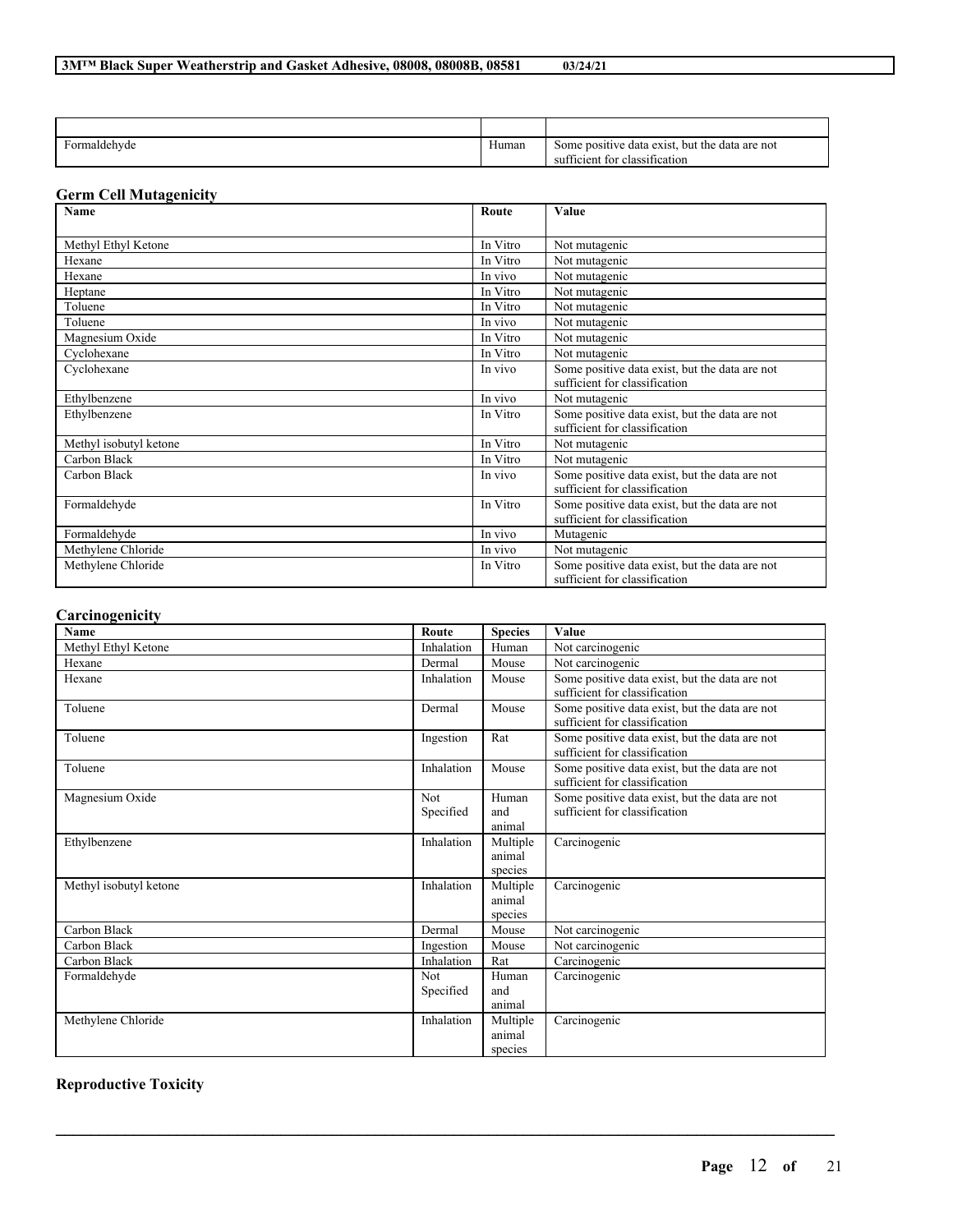| $\sim$<br>Formaldehyde<br>. . | Human | data exist,<br>, but the data are not<br>Some positive<br>fficient for classification<br>SU. |
|-------------------------------|-------|----------------------------------------------------------------------------------------------|

## **Germ Cell Mutagenicity**

| Name                   | Route    | Value                                                                           |
|------------------------|----------|---------------------------------------------------------------------------------|
|                        |          |                                                                                 |
| Methyl Ethyl Ketone    | In Vitro | Not mutagenic                                                                   |
| Hexane                 | In Vitro | Not mutagenic                                                                   |
| Hexane                 | In vivo  | Not mutagenic                                                                   |
| Heptane                | In Vitro | Not mutagenic                                                                   |
| Toluene                | In Vitro | Not mutagenic                                                                   |
| Toluene                | In vivo  | Not mutagenic                                                                   |
| Magnesium Oxide        | In Vitro | Not mutagenic                                                                   |
| Cyclohexane            | In Vitro | Not mutagenic                                                                   |
| Cyclohexane            | In vivo  | Some positive data exist, but the data are not<br>sufficient for classification |
|                        | In vivo  |                                                                                 |
| Ethylbenzene           |          | Not mutagenic                                                                   |
| Ethylbenzene           | In Vitro | Some positive data exist, but the data are not                                  |
|                        |          | sufficient for classification                                                   |
| Methyl isobutyl ketone | In Vitro | Not mutagenic                                                                   |
| Carbon Black           | In Vitro | Not mutagenic                                                                   |
| Carbon Black           | In vivo  | Some positive data exist, but the data are not<br>sufficient for classification |
| Formaldehyde           | In Vitro | Some positive data exist, but the data are not<br>sufficient for classification |
| Formaldehyde           | In vivo  | Mutagenic                                                                       |
| Methylene Chloride     | In vivo  | Not mutagenic                                                                   |
| Methylene Chloride     | In Vitro | Some positive data exist, but the data are not<br>sufficient for classification |

### **Carcinogenicity**

| <b>Name</b>            | Route                   | <b>Species</b>                | Value                                                                           |
|------------------------|-------------------------|-------------------------------|---------------------------------------------------------------------------------|
| Methyl Ethyl Ketone    | Inhalation              | Human                         | Not carcinogenic                                                                |
| Hexane                 | Dermal                  | Mouse                         | Not carcinogenic                                                                |
| Hexane                 | Inhalation              | Mouse                         | Some positive data exist, but the data are not<br>sufficient for classification |
| Toluene                | Dermal                  | Mouse                         | Some positive data exist, but the data are not<br>sufficient for classification |
| Toluene                | Ingestion               | Rat                           | Some positive data exist, but the data are not<br>sufficient for classification |
| Toluene                | Inhalation              | Mouse                         | Some positive data exist, but the data are not<br>sufficient for classification |
| Magnesium Oxide        | <b>Not</b><br>Specified | Human<br>and<br>animal        | Some positive data exist, but the data are not<br>sufficient for classification |
| Ethylbenzene           | Inhalation              | Multiple<br>animal<br>species | Carcinogenic                                                                    |
| Methyl isobutyl ketone | Inhalation              | Multiple<br>animal<br>species | Carcinogenic                                                                    |
| Carbon Black           | Dermal                  | Mouse                         | Not carcinogenic                                                                |
| Carbon Black           | Ingestion               | Mouse                         | Not carcinogenic                                                                |
| Carbon Black           | Inhalation              | Rat                           | Carcinogenic                                                                    |
| Formaldehyde           | Not.                    | Human                         | Carcinogenic                                                                    |
|                        | Specified               | and<br>animal                 |                                                                                 |
| Methylene Chloride     | Inhalation              | Multiple<br>animal<br>species | Carcinogenic                                                                    |

 $\mathcal{L}_\mathcal{L} = \mathcal{L}_\mathcal{L} = \mathcal{L}_\mathcal{L} = \mathcal{L}_\mathcal{L} = \mathcal{L}_\mathcal{L} = \mathcal{L}_\mathcal{L} = \mathcal{L}_\mathcal{L} = \mathcal{L}_\mathcal{L} = \mathcal{L}_\mathcal{L} = \mathcal{L}_\mathcal{L} = \mathcal{L}_\mathcal{L} = \mathcal{L}_\mathcal{L} = \mathcal{L}_\mathcal{L} = \mathcal{L}_\mathcal{L} = \mathcal{L}_\mathcal{L} = \mathcal{L}_\mathcal{L} = \mathcal{L}_\mathcal{L}$ 

# **Reproductive Toxicity**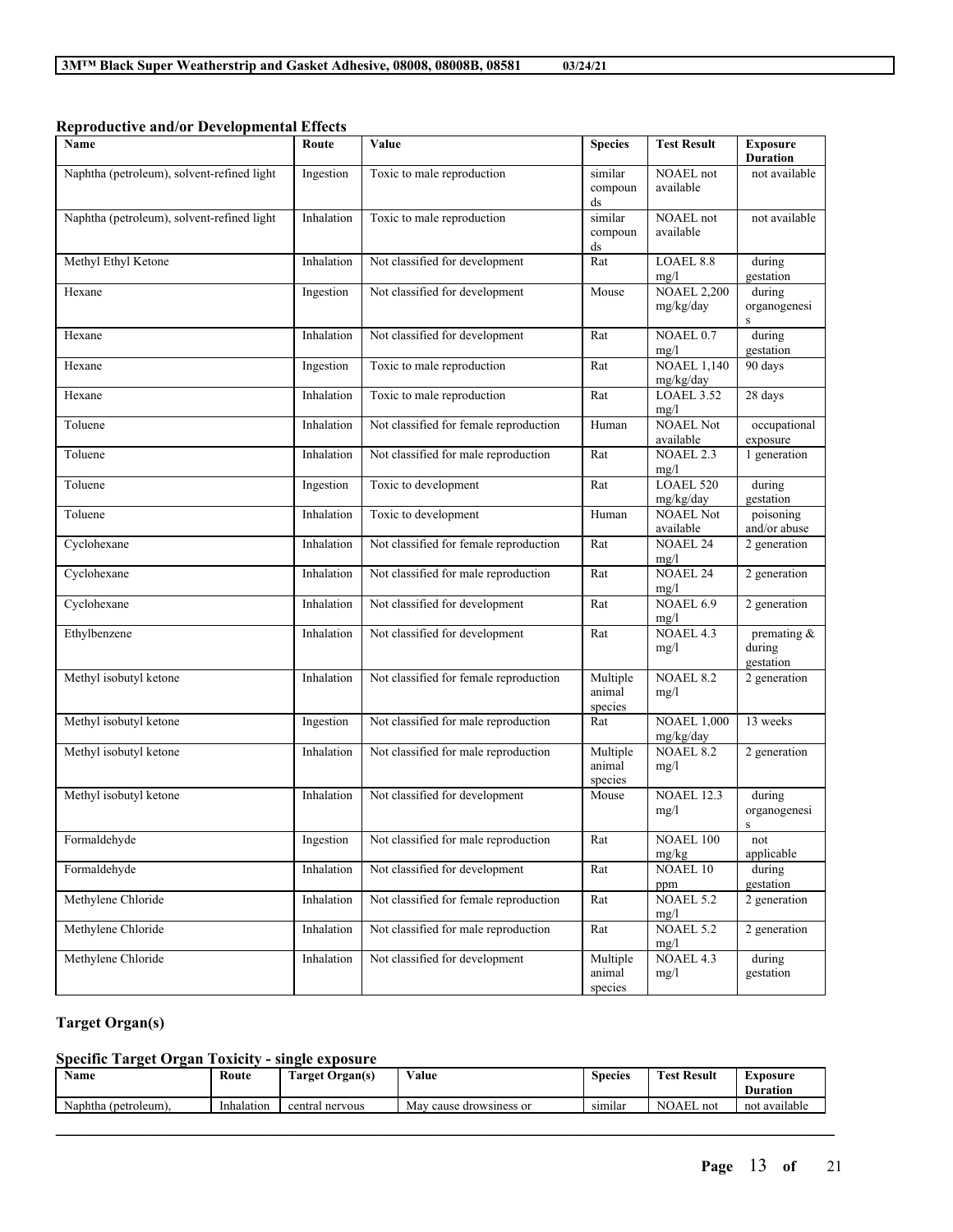| Name                                       | Route      | Value                                  | <b>Species</b>                | <b>Test Result</b>              | <b>Exposure</b><br><b>Duration</b> |
|--------------------------------------------|------------|----------------------------------------|-------------------------------|---------------------------------|------------------------------------|
| Naphtha (petroleum), solvent-refined light | Ingestion  | Toxic to male reproduction             | similar<br>compoun<br>ds      | NOAEL not<br>available          | not available                      |
| Naphtha (petroleum), solvent-refined light | Inhalation | Toxic to male reproduction             | similar<br>compoun<br>ds      | <b>NOAEL</b> not<br>available   | not available                      |
| Methyl Ethyl Ketone                        | Inhalation | Not classified for development         | Rat                           | LOAEL 8.8<br>mg/l               | during<br>gestation                |
| Hexane                                     | Ingestion  | Not classified for development         | Mouse                         | <b>NOAEL 2,200</b><br>mg/kg/day | during<br>organogenesi<br>S        |
| Hexane                                     | Inhalation | Not classified for development         | Rat                           | NOAEL 0.7<br>mg/l               | during<br>gestation                |
| Hexane                                     | Ingestion  | Toxic to male reproduction             | Rat                           | <b>NOAEL 1,140</b><br>mg/kg/day | 90 days                            |
| Hexane                                     | Inhalation | Toxic to male reproduction             | Rat                           | LOAEL 3.52<br>mg/l              | 28 days                            |
| Toluene                                    | Inhalation | Not classified for female reproduction | Human                         | <b>NOAEL Not</b><br>available   | occupational<br>exposure           |
| Toluene                                    | Inhalation | Not classified for male reproduction   | Rat                           | <b>NOAEL 2.3</b><br>mg/l        | 1 generation                       |
| Toluene                                    | Ingestion  | Toxic to development                   | Rat                           | LOAEL 520<br>mg/kg/day          | during<br>gestation                |
| Toluene                                    | Inhalation | Toxic to development                   | Human                         | <b>NOAEL Not</b><br>available   | poisoning<br>and/or abuse          |
| Cyclohexane                                | Inhalation | Not classified for female reproduction | Rat                           | <b>NOAEL 24</b><br>mg/l         | 2 generation                       |
| Cyclohexane                                | Inhalation | Not classified for male reproduction   | Rat                           | <b>NOAEL 24</b><br>mg/l         | 2 generation                       |
| Cyclohexane                                | Inhalation | Not classified for development         | Rat                           | NOAEL 6.9<br>mg/l               | 2 generation                       |
| Ethylbenzene                               | Inhalation | Not classified for development         | Rat                           | NOAEL 4.3<br>mg/l               | premating &<br>during<br>gestation |
| Methyl isobutyl ketone                     | Inhalation | Not classified for female reproduction | Multiple<br>animal<br>species | <b>NOAEL 8.2</b><br>mg/l        | 2 generation                       |
| Methyl isobutyl ketone                     | Ingestion  | Not classified for male reproduction   | Rat                           | <b>NOAEL 1,000</b><br>mg/kg/day | 13 weeks                           |
| Methyl isobutyl ketone                     | Inhalation | Not classified for male reproduction   | Multiple<br>animal<br>species | <b>NOAEL 8.2</b><br>mg/l        | 2 generation                       |
| Methyl isobutyl ketone                     | Inhalation | Not classified for development         | Mouse                         | <b>NOAEL 12.3</b><br>mg/l       | during<br>organogenesi<br>S        |
| Formaldehyde                               | Ingestion  | Not classified for male reproduction   | Rat                           | NOAEL 100<br>mg/kg              | not<br>applicable                  |
| Formaldehyde                               | Inhalation | Not classified for development         | Rat                           | NOAEL 10<br>ppm                 | during<br>gestation                |
| Methylene Chloride                         | Inhalation | Not classified for female reproduction | Rat                           | <b>NOAEL 5.2</b><br>mg/l        | 2 generation                       |
| Methylene Chloride                         | Inhalation | Not classified for male reproduction   | Rat                           | NOAEL 5.2<br>mg/l               | 2 generation                       |
| Methylene Chloride                         | Inhalation | Not classified for development         | Multiple<br>animal<br>species | NOAEL 4.3<br>mg/l               | during<br>gestation                |

**Reproductive and/or Developmental Effects**

## **Target Organ(s)**

## **Specific Target Organ Toxicity - single exposure**

| Name                      | Koute      | Target Organ(s)      | Value                        | Species        | <b>Test Result</b><br><b>CONTRACTOR</b> | Exposure      |
|---------------------------|------------|----------------------|------------------------------|----------------|-----------------------------------------|---------------|
|                           |            |                      |                              |                |                                         | Duration      |
| Naphtha<br>i (petroleum). | Inhalation | central<br>1 nervous | Mav<br>v cause drowsiness or | . .<br>sımılar | <b>NOAEL</b><br>. not                   | not available |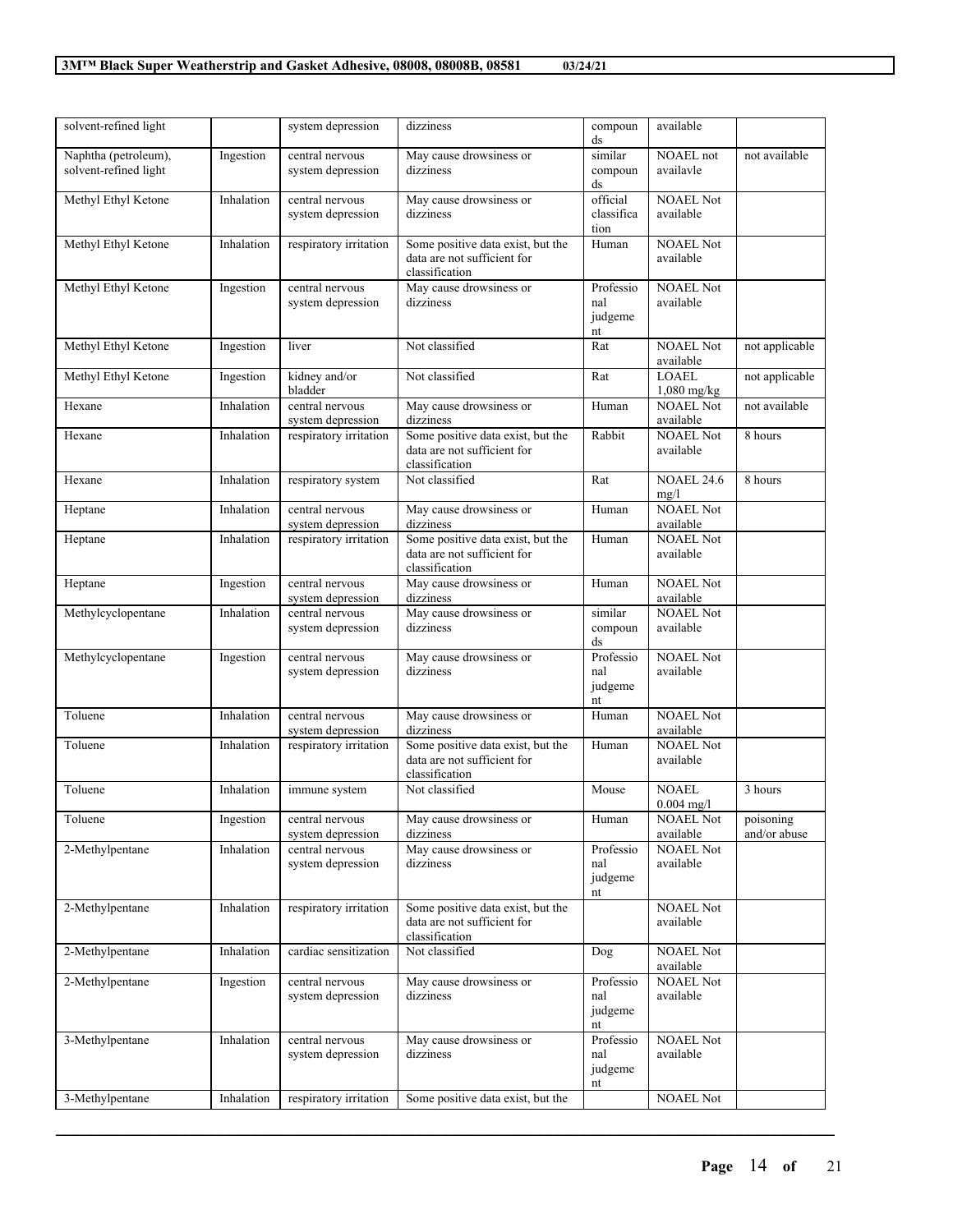| solvent-refined light |            | system depression      | dizziness                         | compoun<br>ds | available         |                |
|-----------------------|------------|------------------------|-----------------------------------|---------------|-------------------|----------------|
| Naphtha (petroleum),  | Ingestion  | central nervous        | May cause drowsiness or           | similar       | NOAEL not         | not available  |
| solvent-refined light |            | system depression      | dizziness                         | compoun       | availavle         |                |
|                       |            |                        |                                   | ds            |                   |                |
| Methyl Ethyl Ketone   | Inhalation | central nervous        | May cause drowsiness or           | official      | <b>NOAEL Not</b>  |                |
|                       |            | system depression      | dizziness                         | classifica    | available         |                |
|                       |            |                        |                                   | tion          |                   |                |
| Methyl Ethyl Ketone   | Inhalation | respiratory irritation | Some positive data exist, but the | Human         | <b>NOAEL Not</b>  |                |
|                       |            |                        | data are not sufficient for       |               | available         |                |
|                       |            |                        | classification                    |               |                   |                |
| Methyl Ethyl Ketone   | Ingestion  | central nervous        | May cause drowsiness or           | Professio     | <b>NOAEL Not</b>  |                |
|                       |            | system depression      | dizziness                         | nal           | available         |                |
|                       |            |                        |                                   | judgeme       |                   |                |
|                       |            |                        |                                   | nt            |                   |                |
| Methyl Ethyl Ketone   | Ingestion  | liver                  | Not classified                    | Rat           | <b>NOAEL Not</b>  | not applicable |
|                       |            |                        |                                   |               | available         |                |
| Methyl Ethyl Ketone   | Ingestion  | kidney and/or          | Not classified                    | Rat           | <b>LOAEL</b>      | not applicable |
|                       |            | bladder                |                                   |               | $1,080$ mg/kg     |                |
| Hexane                | Inhalation | central nervous        | May cause drowsiness or           | Human         | <b>NOAEL Not</b>  | not available  |
|                       |            | system depression      | dizziness                         |               | available         |                |
| Hexane                | Inhalation | respiratory irritation | Some positive data exist, but the | Rabbit        | <b>NOAEL Not</b>  | 8 hours        |
|                       |            |                        | data are not sufficient for       |               | available         |                |
|                       |            |                        | classification                    |               |                   |                |
| Hexane                | Inhalation | respiratory system     | Not classified                    | Rat           | <b>NOAEL 24.6</b> | 8 hours        |
|                       |            |                        |                                   |               | mg/l              |                |
| Heptane               | Inhalation | central nervous        | May cause drowsiness or           | Human         | <b>NOAEL Not</b>  |                |
|                       |            | system depression      | dizziness                         |               | available         |                |
| Heptane               | Inhalation | respiratory irritation | Some positive data exist, but the | Human         | <b>NOAEL Not</b>  |                |
|                       |            |                        | data are not sufficient for       |               | available         |                |
|                       |            |                        | classification                    |               |                   |                |
| Heptane               | Ingestion  | central nervous        | May cause drowsiness or           | Human         | <b>NOAEL Not</b>  |                |
|                       |            | system depression      | dizziness                         |               | available         |                |
| Methylcyclopentane    | Inhalation | central nervous        | May cause drowsiness or           | similar       | <b>NOAEL Not</b>  |                |
|                       |            | system depression      | dizziness                         | compoun       | available         |                |
|                       |            |                        |                                   | ds            |                   |                |
| Methylcyclopentane    | Ingestion  | central nervous        | May cause drowsiness or           | Professio     | <b>NOAEL Not</b>  |                |
|                       |            | system depression      | dizziness                         | nal           | available         |                |
|                       |            |                        |                                   | judgeme       |                   |                |
|                       |            |                        |                                   | nt            |                   |                |
| Toluene               | Inhalation | central nervous        | May cause drowsiness or           | Human         | <b>NOAEL Not</b>  |                |
|                       |            | system depression      | dizziness                         |               | available         |                |
| Toluene               | Inhalation | respiratory irritation | Some positive data exist, but the | Human         | <b>NOAEL Not</b>  |                |
|                       |            |                        | data are not sufficient for       |               | available         |                |
|                       |            |                        | classification                    |               |                   |                |
| Toluene               | Inhalation | immune system          | Not classified                    | Mouse         | <b>NOAEL</b>      | 3 hours        |
|                       |            |                        |                                   |               | $0.004$ mg/l      |                |
| Toluene               | Ingestion  | central nervous        | May cause drowsiness or           | Human         | NOAEL Not         | poisoning      |
|                       |            | system depression      | dizziness                         |               | available         | and/or abuse   |
| 2-Methylpentane       | Inhalation | central nervous        | May cause drowsiness or           | Professio     | <b>NOAEL Not</b>  |                |
|                       |            | system depression      | dizziness                         | nal           | available         |                |
|                       |            |                        |                                   | judgeme       |                   |                |
|                       |            |                        |                                   | nt            |                   |                |
| 2-Methylpentane       | Inhalation | respiratory irritation | Some positive data exist, but the |               | <b>NOAEL Not</b>  |                |
|                       |            |                        | data are not sufficient for       |               | available         |                |
|                       |            |                        | classification                    |               |                   |                |
| 2-Methylpentane       | Inhalation | cardiac sensitization  | Not classified                    | Dog           | <b>NOAEL Not</b>  |                |
|                       |            |                        |                                   |               | available         |                |
| 2-Methylpentane       | Ingestion  | central nervous        | May cause drowsiness or           | Professio     | <b>NOAEL Not</b>  |                |
|                       |            | system depression      | dizziness                         | nal           | available         |                |
|                       |            |                        |                                   | judgeme       |                   |                |
|                       |            |                        |                                   | nt            |                   |                |
| 3-Methylpentane       | Inhalation | central nervous        | May cause drowsiness or           | Professio     | <b>NOAEL Not</b>  |                |
|                       |            | system depression      | dizziness                         | nal           | available         |                |
|                       |            |                        |                                   | judgeme       |                   |                |
| 3-Methylpentane       |            |                        |                                   | nt            | <b>NOAEL Not</b>  |                |
|                       | Inhalation | respiratory irritation | Some positive data exist, but the |               |                   |                |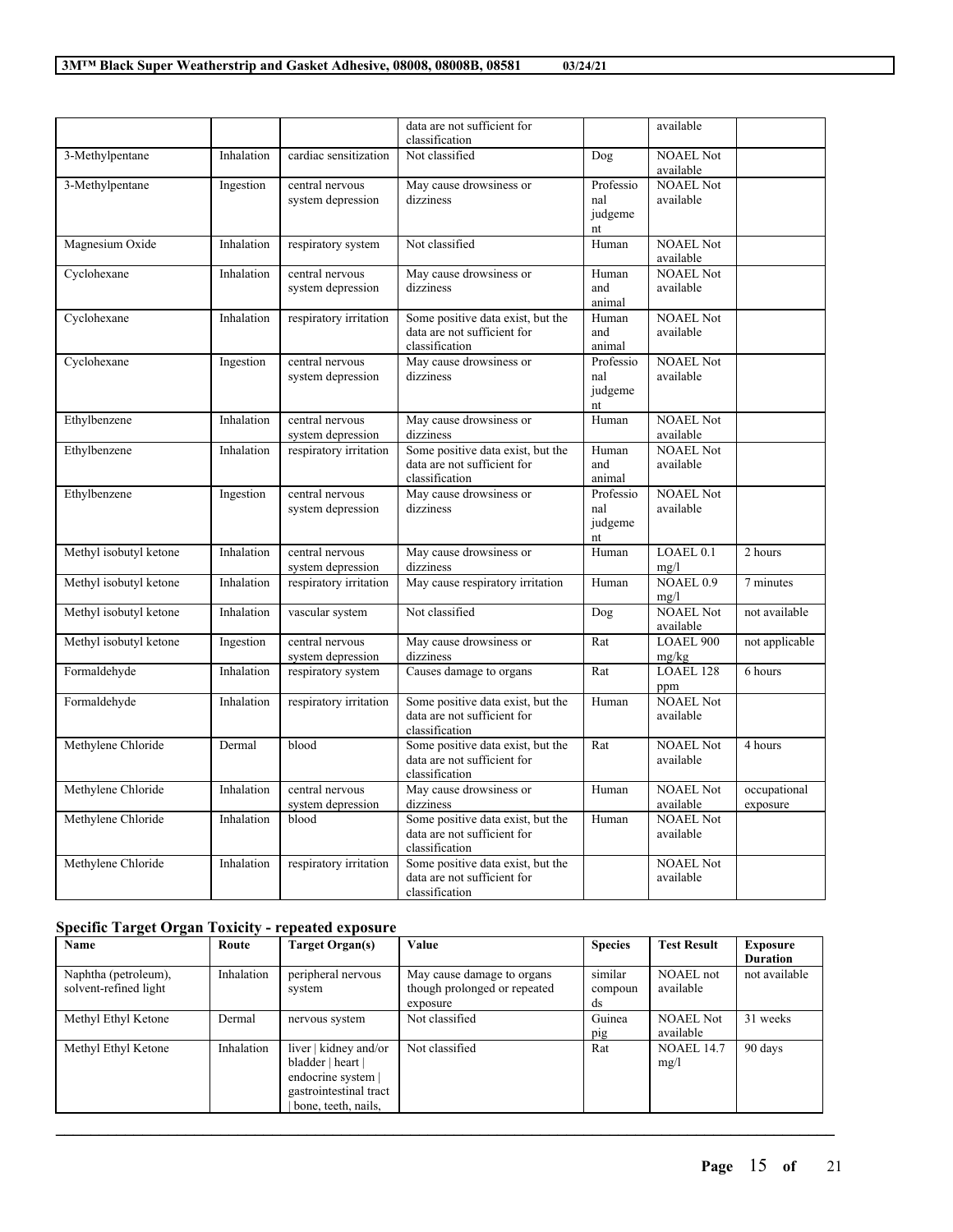|                        |            |                                      | data are not sufficient for<br>classification                                      |                                   | available                      |                          |
|------------------------|------------|--------------------------------------|------------------------------------------------------------------------------------|-----------------------------------|--------------------------------|--------------------------|
| 3-Methylpentane        | Inhalation | cardiac sensitization                | Not classified                                                                     | Dog                               | <b>NOAEL Not</b><br>available  |                          |
| 3-Methylpentane        | Ingestion  | central nervous<br>system depression | May cause drowsiness or<br>dizziness                                               | Professio<br>nal<br>judgeme<br>nt | <b>NOAEL Not</b><br>available  |                          |
| Magnesium Oxide        | Inhalation | respiratory system                   | Not classified                                                                     | Human                             | <b>NOAEL Not</b><br>available  |                          |
| Cyclohexane            | Inhalation | central nervous<br>system depression | May cause drowsiness or<br>dizziness                                               | Human<br>and<br>animal            | <b>NOAEL Not</b><br>available  |                          |
| Cyclohexane            | Inhalation | respiratory irritation               | Some positive data exist, but the<br>data are not sufficient for<br>classification | Human<br>and<br>animal            | <b>NOAEL Not</b><br>available  |                          |
| Cyclohexane            | Ingestion  | central nervous<br>system depression | May cause drowsiness or<br>dizziness                                               | Professio<br>nal<br>judgeme<br>nt | <b>NOAEL Not</b><br>available  |                          |
| Ethylbenzene           | Inhalation | central nervous<br>system depression | May cause drowsiness or<br>dizziness                                               | Human                             | <b>NOAEL Not</b><br>available  |                          |
| Ethylbenzene           | Inhalation | respiratory irritation               | Some positive data exist, but the<br>data are not sufficient for<br>classification | Human<br>and<br>animal            | <b>NOAEL Not</b><br>available  |                          |
| Ethylbenzene           | Ingestion  | central nervous<br>system depression | May cause drowsiness or<br>dizziness                                               | Professio<br>nal<br>judgeme<br>nt | <b>NOAEL Not</b><br>available  |                          |
| Methyl isobutyl ketone | Inhalation | central nervous<br>system depression | May cause drowsiness or<br>dizziness                                               | Human                             | $LOAEL$ <sub>0.1</sub><br>mg/l | 2 hours                  |
| Methyl isobutyl ketone | Inhalation | respiratory irritation               | May cause respiratory irritation                                                   | Human                             | NOAEL $0.9$<br>mg/l            | 7 minutes                |
| Methyl isobutyl ketone | Inhalation | vascular system                      | Not classified                                                                     | Dog                               | <b>NOAEL Not</b><br>available  | not available            |
| Methyl isobutyl ketone | Ingestion  | central nervous<br>system depression | May cause drowsiness or<br>dizziness                                               | Rat                               | <b>LOAEL 900</b><br>mg/kg      | not applicable           |
| Formaldehyde           | Inhalation | respiratory system                   | Causes damage to organs                                                            | Rat                               | <b>LOAEL 128</b><br>ppm        | 6 hours                  |
| Formaldehyde           | Inhalation | respiratory irritation               | Some positive data exist, but the<br>data are not sufficient for<br>classification | Human                             | <b>NOAEL Not</b><br>available  |                          |
| Methylene Chloride     | Dermal     | blood                                | Some positive data exist, but the<br>data are not sufficient for<br>classification | Rat                               | <b>NOAEL Not</b><br>available  | 4 hours                  |
| Methylene Chloride     | Inhalation | central nervous<br>system depression | May cause drowsiness or<br>dizziness                                               | Human                             | <b>NOAEL Not</b><br>available  | occupational<br>exposure |
| Methylene Chloride     | Inhalation | blood                                | Some positive data exist, but the<br>data are not sufficient for<br>classification | Human                             | <b>NOAEL Not</b><br>available  |                          |
| Methylene Chloride     | Inhalation | respiratory irritation               | Some positive data exist, but the<br>data are not sufficient for<br>classification |                                   | <b>NOAEL Not</b><br>available  |                          |

 $\overline{\phantom{a}}$ 

 $\overline{\phantom{0}}$ 

### **Specific Target Organ Toxicity - repeated exposure**

| Name                                          | Route      | Target Organ(s)                                                                                                   | Value                                                                  | <b>Species</b>           | <b>Test Result</b>            | Exposure<br><b>Duration</b> |
|-----------------------------------------------|------------|-------------------------------------------------------------------------------------------------------------------|------------------------------------------------------------------------|--------------------------|-------------------------------|-----------------------------|
| Naphtha (petroleum),<br>solvent-refined light | Inhalation | peripheral nervous<br>system                                                                                      | May cause damage to organs<br>though prolonged or repeated<br>exposure | similar<br>compoun<br>ds | <b>NOAEL</b> not<br>available | not available               |
| Methyl Ethyl Ketone                           | Dermal     | nervous system                                                                                                    | Not classified                                                         | Guinea<br>pig            | <b>NOAEL Not</b><br>available | 31 weeks                    |
| Methyl Ethyl Ketone                           | Inhalation | liver   kidney and/or<br>bladder   heart  <br>endocrine system  <br>gastrointestinal tract<br>bone, teeth, nails, | Not classified                                                         | Rat                      | <b>NOAEL 14.7</b><br>mg/l     | 90 days                     |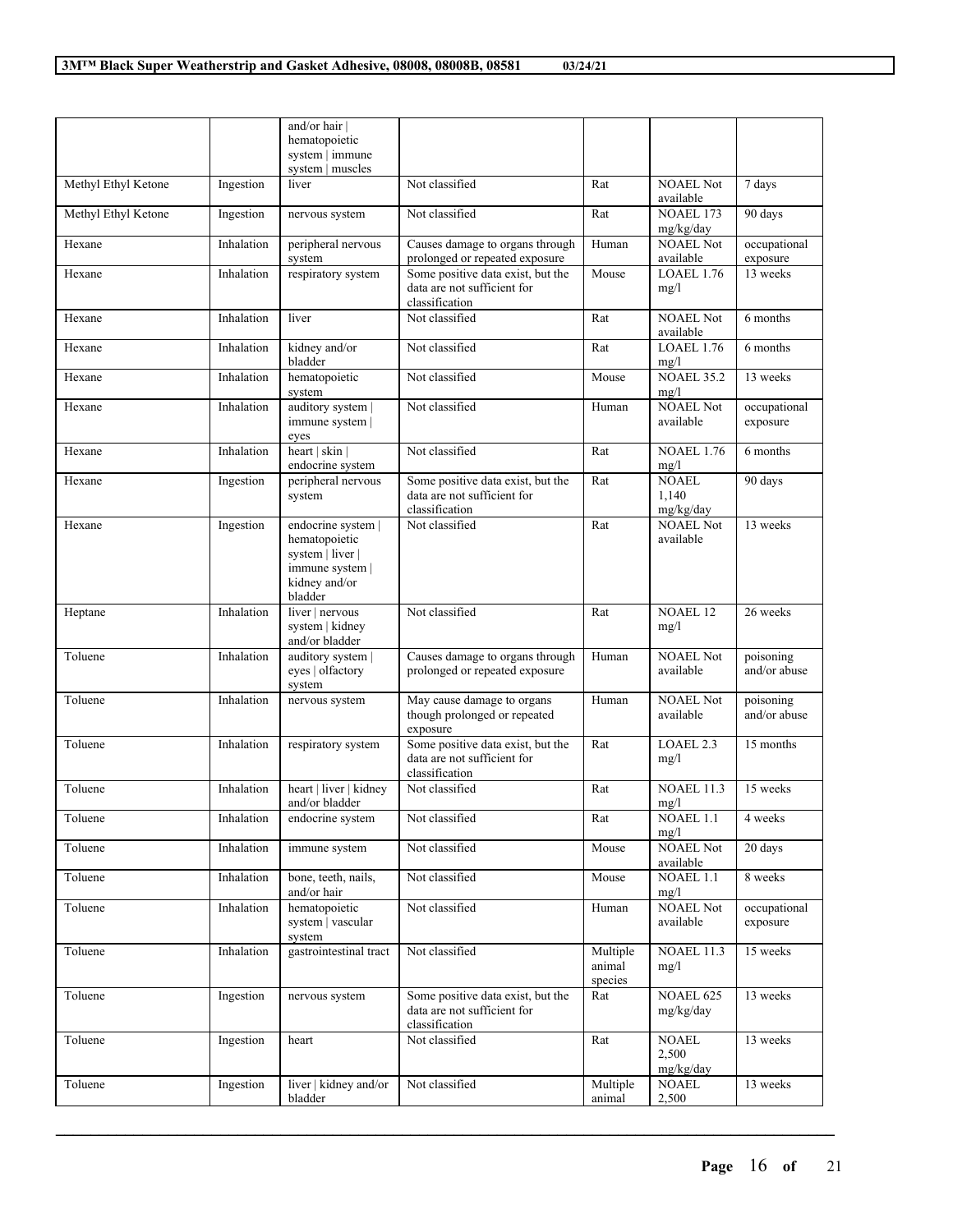|                     |            | and/or hair                                  |                                                                                    |                    |                               |                           |
|---------------------|------------|----------------------------------------------|------------------------------------------------------------------------------------|--------------------|-------------------------------|---------------------------|
|                     |            | hematopoietic                                |                                                                                    |                    |                               |                           |
|                     |            | system   immune                              |                                                                                    |                    |                               |                           |
|                     |            | system   muscles                             |                                                                                    |                    |                               |                           |
| Methyl Ethyl Ketone | Ingestion  | liver                                        | Not classified                                                                     | Rat                | <b>NOAEL Not</b><br>available | 7 days                    |
| Methyl Ethyl Ketone | Ingestion  | nervous system                               | Not classified                                                                     | Rat                | NOAEL 173<br>mg/kg/day        | 90 days                   |
| Hexane              | Inhalation | peripheral nervous                           | Causes damage to organs through                                                    | Human              | <b>NOAEL Not</b>              | occupational              |
|                     |            | system                                       | prolonged or repeated exposure                                                     |                    | available                     | exposure                  |
| Hexane              | Inhalation | respiratory system                           | Some positive data exist, but the<br>data are not sufficient for<br>classification | Mouse              | <b>LOAEL 1.76</b><br>mg/l     | 13 weeks                  |
| Hexane              | Inhalation | liver                                        | Not classified                                                                     | Rat                | <b>NOAEL Not</b><br>available | 6 months                  |
| Hexane              | Inhalation | kidney and/or<br>bladder                     | Not classified                                                                     | Rat                | <b>LOAEL 1.76</b><br>mg/l     | 6 months                  |
| Hexane              | Inhalation | hematopoietic<br>system                      | Not classified                                                                     | Mouse              | <b>NOAEL 35.2</b><br>mg/l     | 13 weeks                  |
| Hexane              | Inhalation | auditory system  <br>immune system  <br>eyes | Not classified                                                                     | Human              | <b>NOAEL Not</b><br>available | occupational<br>exposure  |
| Hexane              | Inhalation | heart   skin  <br>endocrine system           | Not classified                                                                     | Rat                | <b>NOAEL 1.76</b><br>mg/l     | 6 months                  |
| Hexane              | Ingestion  | peripheral nervous                           | Some positive data exist, but the                                                  | Rat                | NOAEL.                        | 90 days                   |
|                     |            | system                                       | data are not sufficient for                                                        |                    | 1,140                         |                           |
|                     |            |                                              | classification                                                                     |                    | mg/kg/day                     |                           |
| Hexane              | Ingestion  | endocrine system                             | Not classified                                                                     | Rat                | <b>NOAEL Not</b>              | 13 weeks                  |
|                     |            | hematopoietic<br>system   liver              |                                                                                    |                    | available                     |                           |
|                     |            | immune system                                |                                                                                    |                    |                               |                           |
|                     |            | kidney and/or                                |                                                                                    |                    |                               |                           |
|                     |            | bladder                                      |                                                                                    |                    |                               |                           |
| Heptane             | Inhalation | liver   nervous                              | Not classified                                                                     | Rat                | <b>NOAEL 12</b>               | 26 weeks                  |
|                     |            | system   kidney<br>and/or bladder            |                                                                                    |                    | mg/l                          |                           |
| Toluene             | Inhalation | auditory system                              | Causes damage to organs through                                                    | Human              | <b>NOAEL Not</b>              | poisoning                 |
|                     |            | eyes   olfactory<br>system                   | prolonged or repeated exposure                                                     |                    | available                     | and/or abuse              |
| Toluene             | Inhalation | nervous system                               | May cause damage to organs<br>though prolonged or repeated                         | Human              | <b>NOAEL Not</b><br>available | poisoning<br>and/or abuse |
|                     |            |                                              | exposure                                                                           |                    |                               |                           |
| Toluene             | Inhalation | respiratory system                           | Some positive data exist, but the                                                  | Rat                | LOAEL <sub>2.3</sub>          | 15 months                 |
|                     |            |                                              | data are not sufficient for                                                        |                    | mg/l                          |                           |
|                     |            |                                              | classification                                                                     |                    |                               |                           |
| Toluene             | Inhalation | heart   liver   kidney<br>and/or bladder     | Not classified                                                                     | Rat                | <b>NOAEL 11.3</b><br>mg/l     | 15 weeks                  |
| Toluene             | Inhalation | endocrine system                             | Not classified                                                                     | Rat                | NOAEL 1.1<br>mg/l             | 4 weeks                   |
| Toluene             | Inhalation | immune system                                | Not classified                                                                     | Mouse              | <b>NOAEL Not</b><br>available | 20 days                   |
| Toluene             | Inhalation | bone, teeth, nails,<br>and/or hair           | Not classified                                                                     | Mouse              | NOAEL 1.1<br>mg/l             | 8 weeks                   |
| Toluene             | Inhalation | hematopoietic<br>system   vascular<br>system | Not classified                                                                     | Human              | <b>NOAEL Not</b><br>available | occupational<br>exposure  |
| Toluene             | Inhalation | gastrointestinal tract                       | Not classified                                                                     | Multiple<br>animal | <b>NOAEL 11.3</b><br>mg/l     | 15 weeks                  |
|                     |            |                                              |                                                                                    | species            |                               |                           |
| Toluene             | Ingestion  | nervous system                               | Some positive data exist, but the                                                  | Rat                | NOAEL 625                     | 13 weeks                  |
|                     |            |                                              | data are not sufficient for<br>classification                                      |                    | mg/kg/day                     |                           |
| Toluene             | Ingestion  | heart                                        | Not classified                                                                     | Rat                | <b>NOAEL</b>                  | 13 weeks                  |
|                     |            |                                              |                                                                                    |                    | 2,500                         |                           |
|                     |            |                                              |                                                                                    |                    | mg/kg/day                     |                           |
| Toluene             | Ingestion  | liver   kidney and/or                        | Not classified                                                                     | Multiple<br>animal | <b>NOAEL</b>                  | 13 weeks                  |
|                     |            | bladder                                      |                                                                                    |                    | 2,500                         |                           |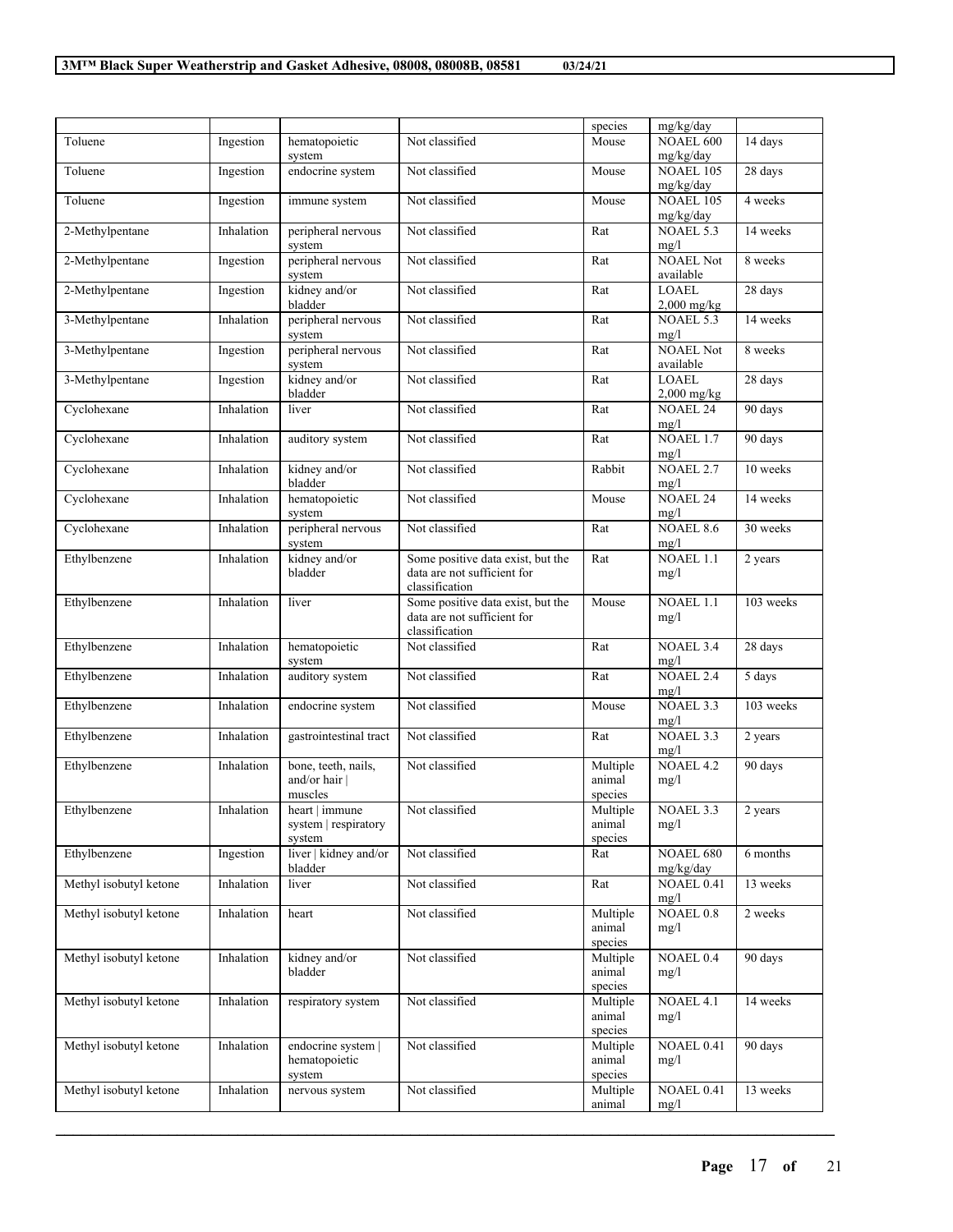|                        |            |                                                  |                                                                                    | species                       | mg/kg/day                     |           |
|------------------------|------------|--------------------------------------------------|------------------------------------------------------------------------------------|-------------------------------|-------------------------------|-----------|
| Toluene                | Ingestion  | hematopoietic<br>system                          | Not classified                                                                     | Mouse                         | NOAEL 600<br>mg/kg/day        | 14 days   |
| Toluene                | Ingestion  | endocrine system                                 | Not classified                                                                     | Mouse                         | <b>NOAEL 105</b><br>mg/kg/day | 28 days   |
| Toluene                | Ingestion  | immune system                                    | Not classified                                                                     | Mouse                         | <b>NOAEL 105</b><br>mg/kg/day | 4 weeks   |
| 2-Methylpentane        | Inhalation | peripheral nervous<br>system                     | Not classified                                                                     | Rat                           | NOAEL 5.3<br>mg/l             | 14 weeks  |
| 2-Methylpentane        | Ingestion  | peripheral nervous<br>system                     | Not classified                                                                     | Rat                           | <b>NOAEL Not</b><br>available | 8 weeks   |
| 2-Methylpentane        | Ingestion  | kidney and/or<br>bladder                         | Not classified                                                                     | Rat                           | <b>LOAEL</b><br>$2,000$ mg/kg | 28 days   |
| 3-Methylpentane        | Inhalation | peripheral nervous<br>system                     | Not classified                                                                     | Rat                           | NOAEL 5.3<br>mg/l             | 14 weeks  |
| 3-Methylpentane        | Ingestion  | peripheral nervous<br>system                     | Not classified                                                                     | Rat                           | <b>NOAEL Not</b><br>available | 8 weeks   |
| 3-Methylpentane        | Ingestion  | kidney and/or<br>bladder                         | Not classified                                                                     | Rat                           | <b>LOAEL</b><br>$2,000$ mg/kg | 28 days   |
| Cyclohexane            | Inhalation | liver                                            | Not classified                                                                     | Rat                           | <b>NOAEL 24</b><br>mg/l       | 90 days   |
| Cyclohexane            | Inhalation | auditory system                                  | Not classified                                                                     | Rat                           | NOAEL 1.7<br>mg/l             | 90 days   |
| Cyclohexane            | Inhalation | kidney and/or<br>bladder                         | Not classified                                                                     | Rabbit                        | NOAEL <sub>2.7</sub><br>mg/l  | 10 weeks  |
| Cyclohexane            | Inhalation | hematopoietic<br>system                          | Not classified                                                                     | Mouse                         | NOAEL 24<br>mg/l              | 14 weeks  |
| Cyclohexane            | Inhalation | peripheral nervous<br>system                     | Not classified                                                                     | Rat                           | NOAEL 8.6<br>mg/l             | 30 weeks  |
| Ethylbenzene           | Inhalation | kidney and/or<br>bladder                         | Some positive data exist, but the<br>data are not sufficient for<br>classification | Rat                           | $NOAEL$ 1.1<br>mg/l           | 2 years   |
| Ethylbenzene           | Inhalation | liver                                            | Some positive data exist, but the<br>data are not sufficient for<br>classification | Mouse                         | NOAEL 1.1<br>mg/l             | 103 weeks |
| Ethylbenzene           | Inhalation | hematopoietic<br>system                          | Not classified                                                                     | Rat                           | NOAEL 3.4<br>mg/l             | 28 days   |
| Ethylbenzene           | Inhalation | auditory system                                  | Not classified                                                                     | Rat                           | NOAEL 2.4<br>mg/l             | 5 days    |
| Ethylbenzene           | Inhalation | endocrine system                                 | Not classified                                                                     | Mouse                         | NOAEL 3.3<br>mg/l             | 103 weeks |
| Ethylbenzene           | Inhalation | gastrointestinal tract                           | Not classified                                                                     | Rat                           | NOAEL 3.3<br>mg/l             | 2 years   |
| Ethylbenzene           | Inhalation | bone, teeth, nails,<br>and/or hair  <br>muscles  | Not classified                                                                     | Multiple<br>animal<br>species | NOAEL 4.2<br>mg/l             | 90 days   |
| Ethylbenzene           | Inhalation | heart   immune<br>system   respiratory<br>system | Not classified                                                                     | Multiple<br>animal<br>species | NOAEL 3.3<br>mg/l             | 2 years   |
| Ethylbenzene           | Ingestion  | liver   kidney and/or<br>bladder                 | Not classified                                                                     | Rat                           | NOAEL 680<br>mg/kg/day        | 6 months  |
| Methyl isobutyl ketone | Inhalation | liver                                            | Not classified                                                                     | Rat                           | NOAEL 0.41<br>mg/l            | 13 weeks  |
| Methyl isobutyl ketone | Inhalation | heart                                            | Not classified                                                                     | Multiple<br>animal<br>species | NOAEL 0.8<br>mg/l             | 2 weeks   |
| Methyl isobutyl ketone | Inhalation | kidney and/or<br>bladder                         | Not classified                                                                     | Multiple<br>animal<br>species | NOAEL 0.4<br>mg/l             | 90 days   |
| Methyl isobutyl ketone | Inhalation | respiratory system                               | Not classified                                                                     | Multiple<br>animal<br>species | NOAEL 4.1<br>mg/l             | 14 weeks  |
| Methyl isobutyl ketone | Inhalation | endocrine system  <br>hematopoietic<br>system    | Not classified                                                                     | Multiple<br>animal<br>species | NOAEL 0.41<br>mg/l            | 90 days   |
| Methyl isobutyl ketone | Inhalation | nervous system                                   | Not classified                                                                     | Multiple<br>animal            | NOAEL 0.41<br>mg/l            | 13 weeks  |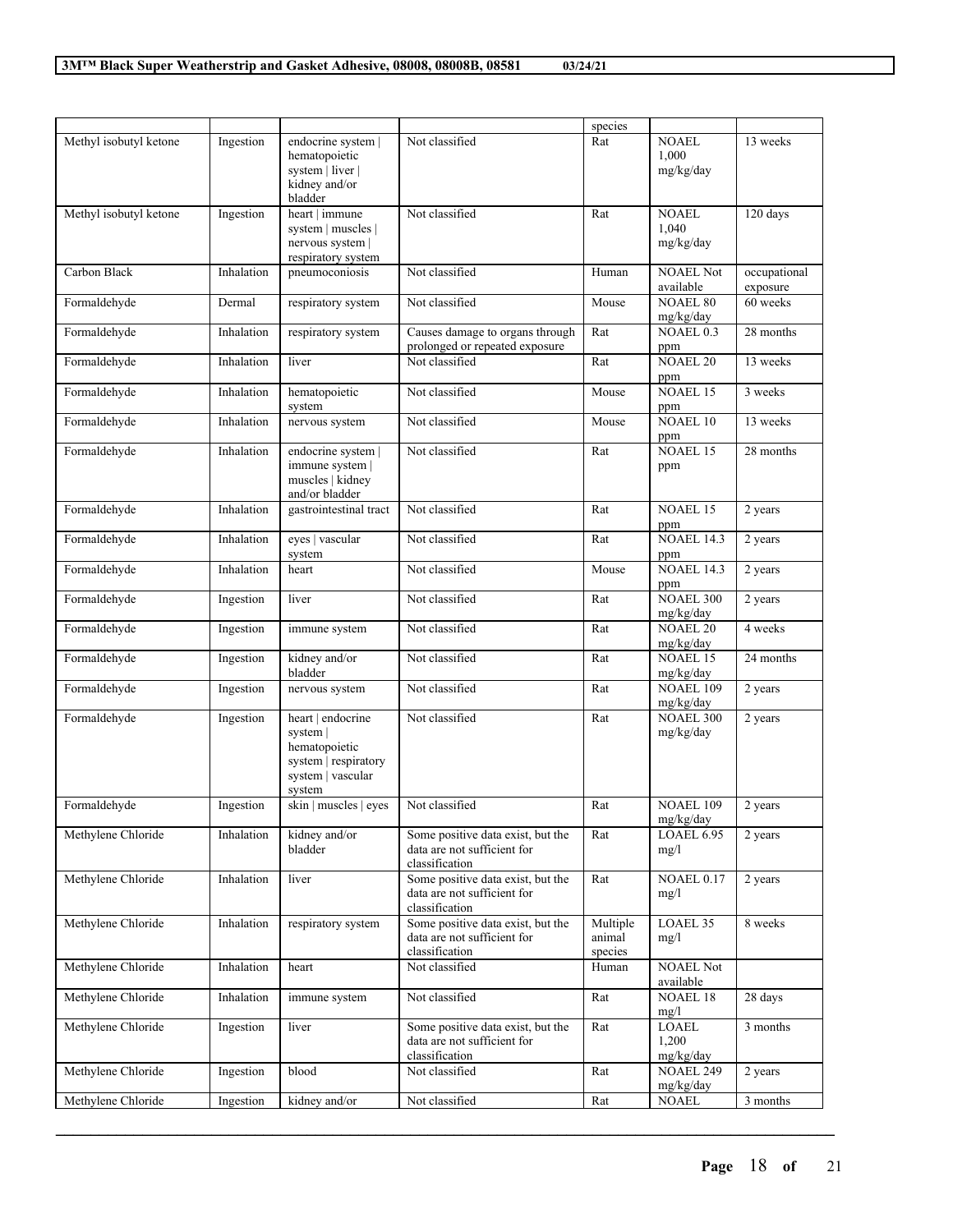|                        |            |                                                                                                       |                                                                                    | species                       |                                    |                          |
|------------------------|------------|-------------------------------------------------------------------------------------------------------|------------------------------------------------------------------------------------|-------------------------------|------------------------------------|--------------------------|
| Methyl isobutyl ketone | Ingestion  | endocrine system  <br>hematopoietic<br>system   liver  <br>kidney and/or<br>bladder                   | Not classified                                                                     | Rat                           | <b>NOAEL</b><br>1,000<br>mg/kg/day | 13 weeks                 |
| Methyl isobutyl ketone | Ingestion  | heart   immune<br>system   muscles  <br>nervous system  <br>respiratory system                        | Not classified                                                                     | Rat                           | <b>NOAEL</b><br>1,040<br>mg/kg/day | 120 days                 |
| Carbon Black           | Inhalation | pneumoconiosis                                                                                        | Not classified                                                                     | Human                         | <b>NOAEL Not</b><br>available      | occupational<br>exposure |
| Formaldehyde           | Dermal     | respiratory system                                                                                    | Not classified                                                                     | Mouse                         | <b>NOAEL 80</b><br>mg/kg/day       | 60 weeks                 |
| Formaldehyde           | Inhalation | respiratory system                                                                                    | Causes damage to organs through<br>prolonged or repeated exposure                  | Rat                           | NOAEL 0.3<br>ppm                   | 28 months                |
| Formaldehyde           | Inhalation | liver                                                                                                 | Not classified                                                                     | Rat                           | NOAEL 20<br>ppm                    | 13 weeks                 |
| Formaldehyde           | Inhalation | hematopoietic<br>system                                                                               | Not classified                                                                     | Mouse                         | <b>NOAEL 15</b><br>ppm             | 3 weeks                  |
| Formaldehyde           | Inhalation | nervous system                                                                                        | Not classified                                                                     | Mouse                         | <b>NOAEL 10</b><br>ppm             | 13 weeks                 |
| Formaldehyde           | Inhalation | endocrine system  <br>immune system  <br>muscles   kidney<br>and/or bladder                           | Not classified                                                                     | Rat                           | <b>NOAEL 15</b><br>ppm             | 28 months                |
| Formaldehyde           | Inhalation | gastrointestinal tract                                                                                | Not classified                                                                     | Rat                           | <b>NOAEL 15</b><br>ppm             | 2 years                  |
| Formaldehyde           | Inhalation | eyes   vascular<br>system                                                                             | Not classified                                                                     | Rat                           | <b>NOAEL 14.3</b><br>ppm           | 2 years                  |
| Formaldehyde           | Inhalation | heart                                                                                                 | Not classified                                                                     | Mouse                         | <b>NOAEL 14.3</b><br>ppm           | 2 years                  |
| Formaldehyde           | Ingestion  | liver                                                                                                 | Not classified                                                                     | Rat                           | <b>NOAEL 300</b><br>mg/kg/day      | 2 years                  |
| Formaldehyde           | Ingestion  | immune system                                                                                         | Not classified                                                                     | Rat                           | <b>NOAEL 20</b><br>mg/kg/day       | 4 weeks                  |
| Formaldehyde           | Ingestion  | kidney and/or<br>bladder                                                                              | Not classified                                                                     | Rat                           | <b>NOAEL 15</b><br>mg/kg/day       | 24 months                |
| Formaldehyde           | Ingestion  | nervous system                                                                                        | Not classified                                                                     | Rat                           | <b>NOAEL 109</b><br>mg/kg/day      | 2 years                  |
| Formaldehyde           | Ingestion  | heart   endocrine<br>system  <br>hematopoietic<br>system   respiratory<br>system   vascular<br>system | Not classified                                                                     | Rat                           | <b>NOAEL 300</b><br>mg/kg/day      | 2 years                  |
| Formaldehyde           | Ingestion  | skin   muscles   eyes                                                                                 | Not classified                                                                     | Rat                           | <b>NOAEL 109</b><br>mg/kg/day      | 2 years                  |
| Methylene Chloride     | Inhalation | kidney and/or<br>bladder                                                                              | Some positive data exist, but the<br>data are not sufficient for<br>classification | Rat                           | LOAEL 6.95<br>mg/l                 | 2 years                  |
| Methylene Chloride     | Inhalation | liver                                                                                                 | Some positive data exist, but the<br>data are not sufficient for<br>classification | Rat                           | <b>NOAEL 0.17</b><br>mg/l          | 2 years                  |
| Methylene Chloride     | Inhalation | respiratory system                                                                                    | Some positive data exist, but the<br>data are not sufficient for<br>classification | Multiple<br>animal<br>species | LOAEL 35<br>mg/l                   | 8 weeks                  |
| Methylene Chloride     | Inhalation | heart                                                                                                 | Not classified                                                                     | Human                         | <b>NOAEL Not</b><br>available      |                          |
| Methylene Chloride     | Inhalation | immune system                                                                                         | Not classified                                                                     | Rat                           | <b>NOAEL 18</b><br>mg/l            | 28 days                  |
| Methylene Chloride     | Ingestion  | liver                                                                                                 | Some positive data exist, but the<br>data are not sufficient for<br>classification | Rat                           | <b>LOAEL</b><br>1,200<br>mg/kg/day | 3 months                 |
| Methylene Chloride     | Ingestion  | blood                                                                                                 | Not classified                                                                     | Rat                           | <b>NOAEL 249</b><br>mg/kg/day      | 2 years                  |
| Methylene Chloride     | Ingestion  | kidney and/or                                                                                         | Not classified                                                                     | Rat                           | <b>NOAEL</b>                       | 3 months                 |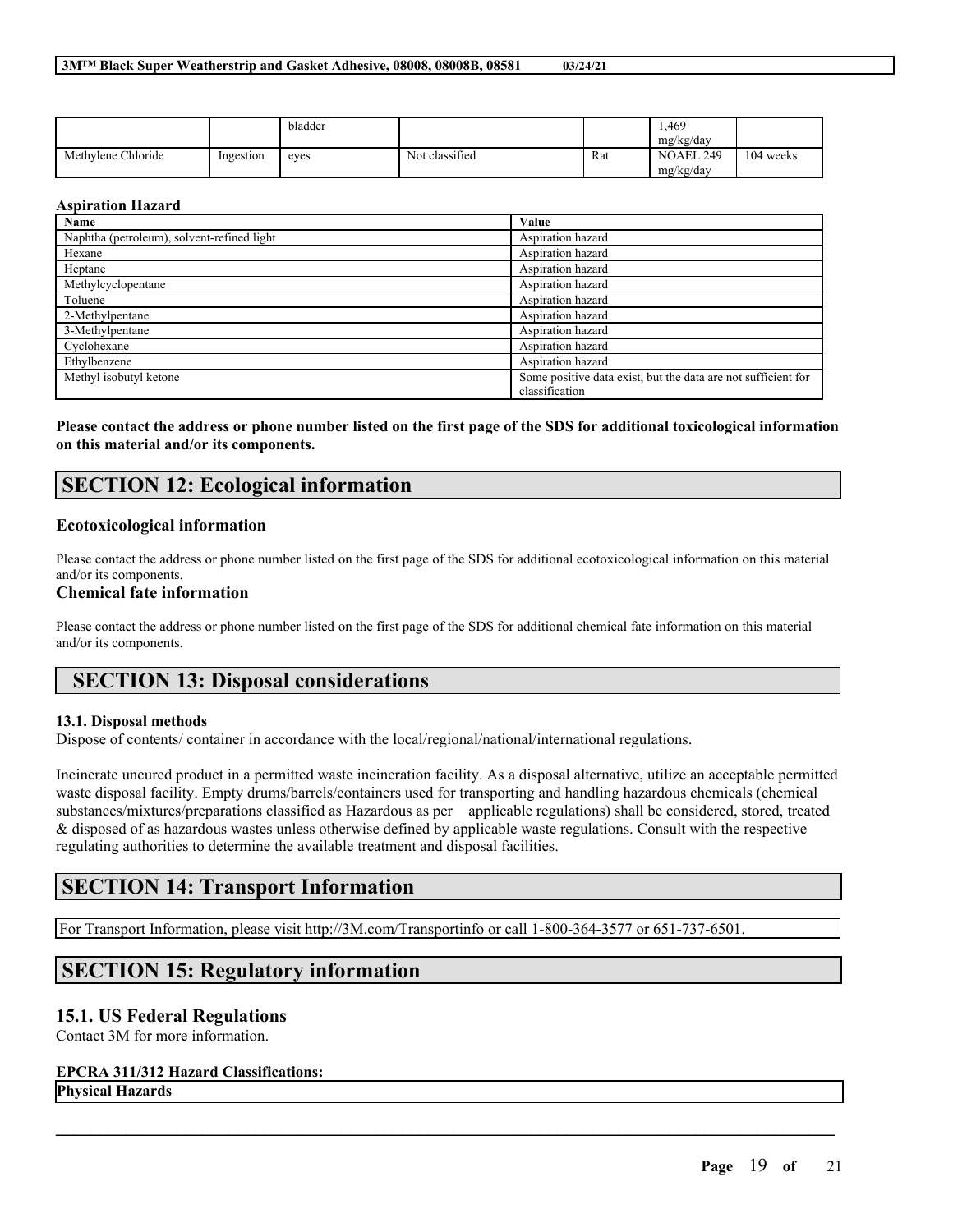|                    |           | bladder |                |     | 1.469<br>mg/kg/day     |           |
|--------------------|-----------|---------|----------------|-----|------------------------|-----------|
| Methylene Chloride | Ingestion | eves    | Not classified | Rat | NOAEL 249<br>mg/kg/day | 104 weeks |

### **Aspiration Hazard**

| Name                                       | Value                                                                           |
|--------------------------------------------|---------------------------------------------------------------------------------|
| Naphtha (petroleum), solvent-refined light | Aspiration hazard                                                               |
| Hexane                                     | Aspiration hazard                                                               |
| Heptane                                    | Aspiration hazard                                                               |
| Methylcyclopentane                         | Aspiration hazard                                                               |
| Toluene                                    | Aspiration hazard                                                               |
| 2-Methylpentane                            | Aspiration hazard                                                               |
| 3-Methylpentane                            | Aspiration hazard                                                               |
| Cyclohexane                                | Aspiration hazard                                                               |
| Ethylbenzene                               | Aspiration hazard                                                               |
| Methyl isobutyl ketone                     | Some positive data exist, but the data are not sufficient for<br>classification |

Please contact the address or phone number listed on the first page of the SDS for additional toxicological information **on this material and/or its components.**

# **SECTION 12: Ecological information**

### **Ecotoxicological information**

Please contact the address or phone number listed on the first page of the SDS for additional ecotoxicological information on this material and/or its components.

## **Chemical fate information**

Please contact the address or phone number listed on the first page of the SDS for additional chemical fate information on this material and/or its components.

## **SECTION 13: Disposal considerations**

### **13.1. Disposal methods**

Dispose of contents/ container in accordance with the local/regional/national/international regulations.

Incinerate uncured product in a permitted waste incineration facility. As a disposal alternative, utilize an acceptable permitted waste disposal facility. Empty drums/barrels/containers used for transporting and handling hazardous chemicals (chemical substances/mixtures/preparations classified as Hazardous as per applicable regulations) shall be considered, stored, treated & disposed of as hazardous wastes unless otherwise defined by applicable waste regulations. Consult with the respective regulating authorities to determine the available treatment and disposal facilities.

 $\mathcal{L}_\mathcal{L} = \mathcal{L}_\mathcal{L} = \mathcal{L}_\mathcal{L} = \mathcal{L}_\mathcal{L} = \mathcal{L}_\mathcal{L} = \mathcal{L}_\mathcal{L} = \mathcal{L}_\mathcal{L} = \mathcal{L}_\mathcal{L} = \mathcal{L}_\mathcal{L} = \mathcal{L}_\mathcal{L} = \mathcal{L}_\mathcal{L} = \mathcal{L}_\mathcal{L} = \mathcal{L}_\mathcal{L} = \mathcal{L}_\mathcal{L} = \mathcal{L}_\mathcal{L} = \mathcal{L}_\mathcal{L} = \mathcal{L}_\mathcal{L}$ 

# **SECTION 14: Transport Information**

For Transport Information, please visit http://3M.com/Transportinfo or call 1-800-364-3577 or 651-737-6501.

# **SECTION 15: Regulatory information**

## **15.1. US Federal Regulations**

Contact 3M for more information.

### **EPCRA 311/312 Hazard Classifications:**

**Physical Hazards**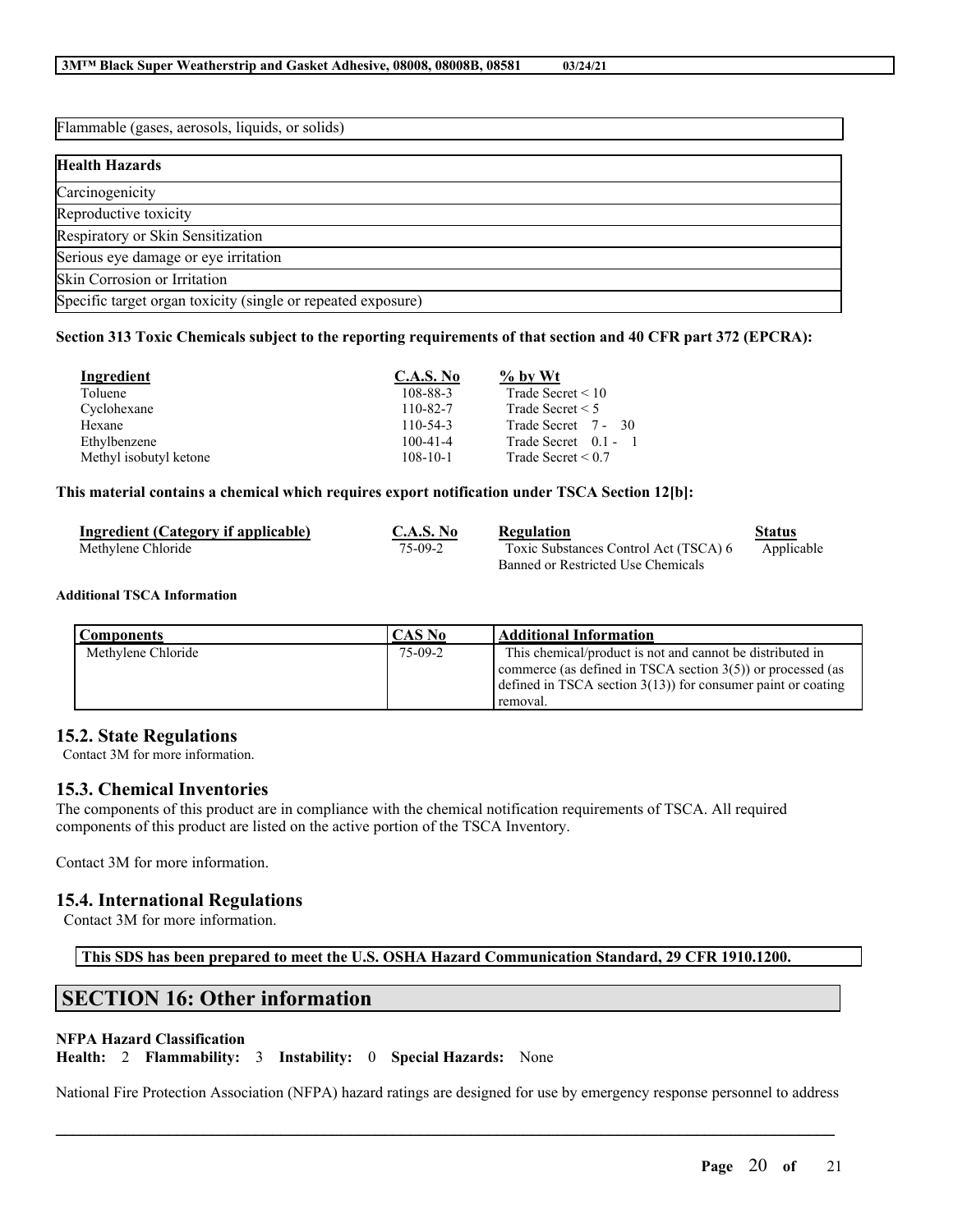Flammable (gases, aerosols, liquids, or solids) **Health Hazards Carcinogenicity** Reproductive toxicity Respiratory or Skin Sensitization Serious eye damage or eye irritation Skin Corrosion or Irritation Specific target organ toxicity (single or repeated exposure)

### Section 313 Toxic Chemicals subject to the reporting requirements of that section and 40 CFR part 372 (EPCRA):

| Ingredient             | <b>C.A.S. No</b> | $\%$ by Wt              |
|------------------------|------------------|-------------------------|
| Toluene                | 108-88-3         | Trade Secret $\leq 10$  |
| Cyclohexane            | $110 - 82 - 7$   | Trade Secret $\leq 5$   |
| Hexane                 | $110 - 54 - 3$   | Trade Secret 7 - 30     |
| Ethylbenzene           | $100 - 41 - 4$   | Trade Secret 0.1 -      |
| Methyl isobutyl ketone | $108 - 10 - 1$   | Trade Secret $\leq 0.7$ |

#### **This material contains a chemical which requires export notification under TSCA Section 12[b]:**

| Ingredient (Category if applicable) | C.A.S. No | Regulation                            | Status     |
|-------------------------------------|-----------|---------------------------------------|------------|
| Methylene Chloride                  | $75-09-2$ | Toxic Substances Control Act (TSCA) 6 | Applicable |
|                                     |           | Banned or Restricted Use Chemicals    |            |

#### **Additional TSCA Information**

| <b>Components</b>  | CAS No    | <b>Additional Information</b>                                                                                                                                                                            |
|--------------------|-----------|----------------------------------------------------------------------------------------------------------------------------------------------------------------------------------------------------------|
| Methylene Chloride | $75-09-2$ | This chemical/product is not and cannot be distributed in<br>commerce (as defined in TSCA section $3(5)$ ) or processed (as<br>defined in TSCA section $3(13)$ for consumer paint or coating<br>removal. |

## **15.2. State Regulations**

Contact 3M for more information.

## **15.3. Chemical Inventories**

The components of this product are in compliance with the chemical notification requirements of TSCA. All required components of this product are listed on the active portion of the TSCA Inventory.

Contact 3M for more information.

## **15.4. International Regulations**

Contact 3M for more information.

**This SDS has been prepared to meet the U.S. OSHA Hazard Communication Standard, 29 CFR 1910.1200.**

# **SECTION 16: Other information**

#### **NFPA Hazard Classification**

**Health:** 2 **Flammability:** 3 **Instability:** 0 **Special Hazards:** None

National Fire Protection Association (NFPA) hazard ratings are designed for use by emergency response personnel to address